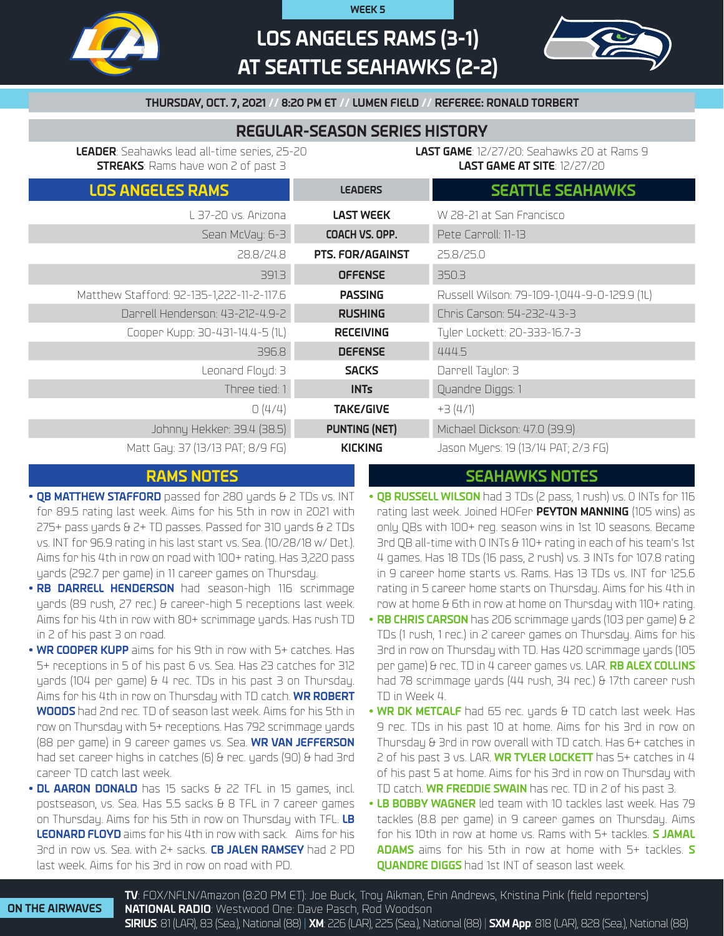

# **LOS ANGELES RAMS (3-1) AT SEATTLE SEAHAWKS (2-2)**

**WEEK 5**



**THURSDAY, OCT. 7, 2021 // 8:20 PM ET // LUMEN FIELD // REFEREE: RONALD TORBERT**

# **REGULAR-SEASON SERIES HISTORY**

**LEADER**: Seahawks lead all-time series, 25-20 **STREAKS**: Rams have won 2 of past 3

**LAST GAME**: 12/27/20: Seahawks 20 at Rams 9 **LAST GAME AT SITE**: 12/27/20

| <b>LOS ANGELES RAMS</b>                   | <b>LEADERS</b>          | <b>SEATTLE SEAHAWKS</b>                     |
|-------------------------------------------|-------------------------|---------------------------------------------|
| L 37-20 vs. Arizona                       | <b>LAST WEEK</b>        | W 28-21 at San Francisco                    |
| Sean McVay: 6-3                           | COACH VS. OPP.          | Pete Carroll: 11-13                         |
| 28.8/24.8                                 | <b>PTS. FOR/AGAINST</b> | 25.8/25.0                                   |
| 391.3                                     | <b>OFFENSE</b>          | 350.3                                       |
| Matthew Stafford: 92-135-1,222-11-2-117.6 | <b>PASSING</b>          | Russell Wilson: 79-109-1,044-9-0-129.9 (1L) |
| Darrell Henderson: 43-212-4.9-2           | <b>RUSHING</b>          | Chris Carson: 54-232-4.3-3                  |
| Cooper Kupp: 30-431-14.4-5 (1L)           | <b>RECEIVING</b>        | Tylen Lockett: 20-333-16.7-3                |
| 396.8                                     | <b>DEFENSE</b>          | 444.5                                       |
| Leonard Floyd: 3                          | <b>SACKS</b>            | Darrell Taylor: 3                           |
| Three tied: 1                             | <b>INTs</b>             | Quandre Diggs: 1                            |
| O(4/4)                                    | <b>TAKE/GIVE</b>        | $+3(4/1)$                                   |
| Johnny Hekker: 39.4 (38.5)                | <b>PUNTING (NET)</b>    | Michael Dickson: 47.0 (39.9)                |
| Matt Gay: 37 (13/13 PAT; 8/9 FG)          | <b>KICKING</b>          | Jason Myers: 19 (13/14 PAT; 2/3 FG)         |

# **RAMS NOTES SEAHAWKS NOTES**

- **QB MATTHEW STAFFORD** passed for 280 yards & 2 TDs vs. INT for 89.5 rating last week. Aims for his 5th in row in 2021 with 275+ pass yards & 2+ TD passes. Passed for 310 yards & 2 TDs vs. INT for 96.9 rating in his last start vs. Sea. (10/28/18 w/ Det.). Aims for his 4th in row on road with 100+ rating. Has 3,220 pass yards (292.7 per game) in 11 career games on Thursday.
- **• RB DARRELL HENDERSON** had season-high 116 scrimmage yards (89 rush, 27 rec.) & career-high 5 receptions last week. Aims for his 4th in row with 80+ scrimmage yards. Has rush TD in 2 of his past 3 on road.
- **• WR COOPER KUPP** aims for his 9th in row with 5+ catches. Has 5+ receptions in 5 of his past 6 vs. Sea. Has 23 catches for 312 yards (104 per game) & 4 rec. TDs in his past 3 on Thursday. Aims for his 4th in row on Thursday with TD catch. **WR ROBERT WOODS** had 2nd rec. TD of season last week. Aims for his 5th in row on Thursday with 5+ receptions. Has 792 scrimmage yards (88 per game) in 9 career games vs. Sea. **WR VAN JEFFERSON**  had set career highs in catches (6) & rec. yards (90) & had 3rd career TD catch last week.
- **• DL AARON DONALD** has 15 sacks & 22 TFL in 15 games, incl. postseason, vs. Sea. Has 5.5 sacks & 8 TFL in 7 career games on Thursday. Aims for his 5th in row on Thursday with TFL. **LB LEONARD FLOYD** aims for his 4th in row with sack. Aims for his 3rd in row vs. Sea. with 2+ sacks. **CB JALEN RAMSEY** had 2 PD last week. Aims for his 3rd in row on road with PD.
- **• QB RUSSELL WILSON** had 3 TDs (2 pass, 1 rush) vs. 0 INTs for 116 rating last week. Joined HOFer **PEYTON MANNING** (105 wins) as only QBs with 100+ reg. season wins in 1st 10 seasons. Became 3rd QB all-time with 0 INTs & 110+ rating in each of his team's 1st 4 games. Has 18 TDs (16 pass, 2 rush) vs. 3 INTs for 107.8 rating in 9 career home starts vs. Rams. Has 13 TDs vs. INT for 125.6 rating in 5 career home starts on Thursday. Aims for his 4th in row at home & 6th in row at home on Thursday with 110+ rating.
- **• RB CHRIS CARSON** has 206 scrimmage yards (103 per game) & 2 TDs (1 rush, 1 rec.) in 2 career games on Thursday. Aims for his 3rd in row on Thursday with TD. Has 420 scrimmage yards (105 per game) & rec. TD in 4 career games vs. LAR. **RB ALEX COLLINS** had 78 scrimmage yards (44 rush, 34 rec.) & 17th career rush TD in Week 4.
- **• WR DK METCALF** had 65 rec. yards & TD catch last week. Has 9 rec. TDs in his past 10 at home. Aims for his 3rd in row on Thursday & 3rd in row overall with TD catch. Has 6+ catches in 2 of his past 3 vs. LAR. **WR TYLER LOCKETT** has 5+ catches in 4 of his past 5 at home. Aims for his 3rd in row on Thursday with TD catch. **WR FREDDIE SWAIN** has rec. TD in 2 of his past 3.
- **• LB BOBBY WAGNER** led team with 10 tackles last week. Has 79 tackles (8.8 per game) in 9 career games on Thursday. Aims for his 10th in row at home vs. Rams with 5+ tackles. **S JAMAL ADAMS** aims for his 5th in row at home with 5+ tackles. **S QUANDRE DIGGS** had 1st INT of season last week.

**TV**: FOX/NFLN/Amazon (8:20 PM ET): Joe Buck, Troy Aikman, Erin Andrews, Kristina Pink (field reporters) **NATIONAL RADIO**: Westwood One: Dave Pasch, Rod Woodson **SIRIUS**: 81 (LAR), 83 (Sea.), National (88) | **XM**: 226 (LAR), 225 (Sea.), National (88) | **SXM App**: 818 (LAR), 828 (Sea.), National (88)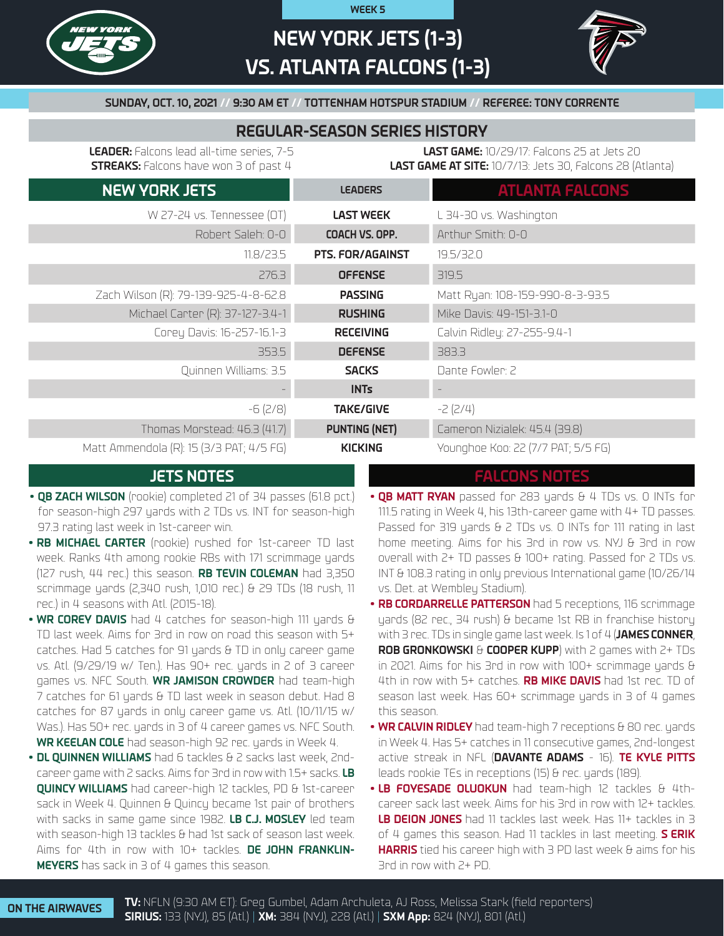

# **NEW YORK JETS (1-3) VS. ATLANTA FALCONS (1-3)**

**WEEK 5**



**SUNDAY, OCT. 10, 2021 // 9:30 AM ET // TOTTENHAM HOTSPUR STADIUM // REFEREE: TONY CORRENTE**

# **REGULAR-SEASON SERIES HISTORY**

**LEADER:** Falcons lead all-time series, 7-5 **STREAKS:** Falcons have won 3 of past 4

**LAST GAME:** 10/29/17: Falcons 25 at Jets 20 **LAST GAME AT SITE:** 10/7/13: Jets 30, Falcons 28 (Atlanta)

| <b>NEW YORK JETS</b>                     | <b>LEADERS</b>          | <b>ATLANTA FALCONS</b>             |
|------------------------------------------|-------------------------|------------------------------------|
| W 27-24 vs. Tennessee (OT)               | <b>LAST WEEK</b>        | L 34-30 vs. Washington             |
| Robert Saleh: 0-0                        | COACH VS. OPP.          | Arthur Smith: 0-0                  |
| 11.8/23.5                                | <b>PTS. FOR/AGAINST</b> | 19.5/32.0                          |
| 276.3                                    | <b>OFFENSE</b>          | 319.5                              |
| Zach Wilson (R): 79-139-925-4-8-62.8     | <b>PASSING</b>          | Matt Ryan: 108-159-990-8-3-93.5    |
| Michael Carter (R): 37-127-3.4-1         | <b>RUSHING</b>          | Mike Davis: 49-151-3.1-0           |
| Corey Davis: 16-257-16.1-3               | <b>RECEIVING</b>        | Calvin Ridley: 27-255-9.4-1        |
| 353.5                                    | <b>DEFENSE</b>          | 383.3                              |
| Quinnen Williams: 3.5                    | <b>SACKS</b>            | Dante Fowler: 2                    |
|                                          | <b>INTs</b>             |                                    |
| $-6(2/8)$                                | <b>TAKE/GIVE</b>        | $-2(2/4)$                          |
| Thomas Morstead: 46.3 (41.7)             | <b>PUNTING (NET)</b>    | Cameron Nizialek: 45.4 (39.8)      |
| Matt Ammendola (R): 15 (3/3 PAT; 4/5 FG) | <b>KICKING</b>          | Younghoe Koo: 22 (7/7 PAT; 5/5 FG) |

- **• QB ZACH WILSON** (rookie) completed 21 of 34 passes (61.8 pct.) for season-high 297 yards with 2 TDs vs. INT for season-high 97.3 rating last week in 1st-career win.
- **• RB MICHAEL CARTER** (rookie) rushed for 1st-career TD last week. Ranks 4th among rookie RBs with 171 scrimmage yards (127 rush, 44 rec.) this season. **RB TEVIN COLEMAN** had 3,350 scrimmage yards (2,340 rush, 1,010 rec.) & 29 TDs (18 rush, 11 rec.) in 4 seasons with Atl. (2015-18).
- **• WR COREY DAVIS** had 4 catches for season-high 111 yards & TD last week. Aims for 3rd in row on road this season with 5+ catches. Had 5 catches for 91 yards & TD in only career game vs. Atl. (9/29/19 w/ Ten.). Has 90+ rec. yards in 2 of 3 career games vs. NFC South. **WR JAMISON CROWDER** had team-high 7 catches for 61 yards & TD last week in season debut. Had 8 catches for 87 yards in only career game vs. Atl. (10/11/15 w/ Was.). Has 50+ rec. yards in 3 of 4 career games vs. NFC South. **WR KEELAN COLE** had season-high 92 rec. yards in Week 4.
- **• DL QUINNEN WILLIAMS** had 6 tackles & 2 sacks last week, 2ndcareer game with 2 sacks. Aims for 3rd in row with 1.5+ sacks. **LB QUINCY WILLIAMS** had career-high 12 tackles, PD & 1st-career sack in Week 4. Quinnen & Quincy became 1st pair of brothers with sacks in same game since 1982. **LB C.J. MOSLEY** led team with season-high 13 tackles & had 1st sack of season last week. Aims for 4th in row with 10+ tackles. **DE JOHN FRANKLIN-MEYERS** has sack in 3 of 4 games this season.

## **JETS NOTES FALCONS NOTES**

- **• QB MATT RYAN** passed for 283 yards & 4 TDs vs. 0 INTs for 111.5 rating in Week 4, his 13th-career game with 4+ TD passes. Passed for 319 yards & 2 TDs vs. 0 INTs for 111 rating in last home meeting. Aims for his 3rd in row vs. NYJ & 3rd in row overall with 2+ TD passes & 100+ rating. Passed for 2 TDs vs. INT & 108.3 rating in only previous International game (10/26/14 vs. Det. at Wembley Stadium).
- **• RB CORDARRELLE PATTERSON** had 5 receptions, 116 scrimmage yards (82 rec., 34 rush) & became 1st RB in franchise history with 3 rec. TDs in single game last week. Is 1 of 4 (**JAMES CONNER**, **ROB GRONKOWSKI** & **COOPER KUPP**) with 2 games with 2+ TDs in 2021. Aims for his 3rd in row with 100+ scrimmage yards & 4th in row with 5+ catches. **RB MIKE DAVIS** had 1st rec. TD of season last week. Has 60+ scrimmage yards in 3 of 4 games this season.
- **• WR CALVIN RIDLEY** had team-high 7 receptions & 80 rec. yards in Week 4. Has 5+ catches in 11 consecutive games, 2nd-longest active streak in NFL (**DAVANTE ADAMS** - 16). **TE KYLE PITTS** leads rookie TEs in receptions (15) & rec. yards (189).
- **• LB FOYESADE OLUOKUN** had team-high 12 tackles & 4thcareer sack last week. Aims for his 3rd in row with 12+ tackles. **LB DEION JONES** had 11 tackles last week. Has 11+ tackles in 3 of 4 games this season. Had 11 tackles in last meeting. **S ERIK HARRIS** tied his career high with 3 PD last week & aims for his 3rd in row with 2+ PD.

**ON THE AIRWAVES TV:** NFLN (9:30 AM ET): Greg Gumbel, Adam Archuleta, AJ Ross, Melissa Stark (field reporters) **SIRIUS:** 133 (NYJ), 85 (Atl.) | **XM:** 384 (NYJ), 228 (Atl.) | **SXM App:** 824 (NYJ), 801 (Atl.)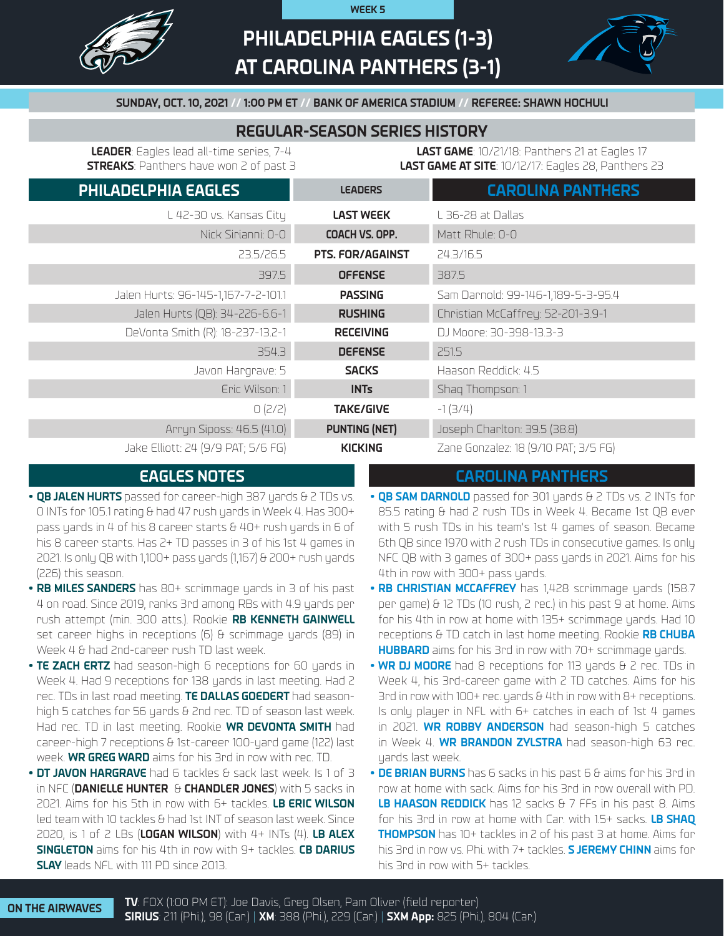

# **PHILADELPHIA EAGLES (1-3) AT CAROLINA PANTHERS (3-1)**

**WEEK 5**



## **SUNDAY, OCT. 10, 2021 // 1:00 PM ET // BANK OF AMERICA STADIUM // REFEREE: SHAWN HOCHULI**

## **REGULAR-SEASON SERIES HISTORY**

**LEADER**: Eagles lead all-time series, 7-4 **STREAKS**: Panthers have won 2 of past 3

**LAST GAME**: 10/21/18: Panthers 21 at Eagles 17 **LAST GAME AT SITE**: 10/12/17: Eagles 28, Panthers 23

| PHILADELPHIA EAGLES                 | <b>LEADERS</b>          | <b>CAROLINA PANTHERS</b>             |
|-------------------------------------|-------------------------|--------------------------------------|
| L 42-30 vs. Kansas City             | <b>LAST WEEK</b>        | L 36-28 at Dallas                    |
| Nick Sirianni: 0-0                  | COACH VS. OPP.          | Matt Rhule: 0-0                      |
| 23.5/26.5                           | <b>PTS. FOR/AGAINST</b> | 24.3/16.5                            |
| 397.5                               | <b>OFFENSE</b>          | 387.5                                |
| Jalen Hurts: 96-145-1,167-7-2-101.1 | <b>PASSING</b>          | Sam Darnold: 99-146-1,189-5-3-95.4   |
| Jalen Hurts (QB): 34-226-6.6-1      | <b>RUSHING</b>          | Christian McCaffrey: 52-201-3.9-1    |
| DeVonta Smith (R): 18-237-13.2-1    | <b>RECEIVING</b>        | DJ Moore: 30-398-13.3-3              |
| 354.3                               | <b>DEFENSE</b>          | 251.5                                |
| Javon Hargrave: 5                   | <b>SACKS</b>            | Haason Reddick: 4.5                  |
| Eric Wilson: 1                      | <b>INTs</b>             | Shaq Thompson: 1                     |
| O (2/2)                             | <b>TAKE/GIVE</b>        | $-1(3/4)$                            |
| Arryn Siposs: 46.5 (41.0)           | <b>PUNTING (NET)</b>    | Joseph Charlton: 39.5 (38.8)         |
| Jake Elliott: 24 (9/9 PAT; 5/6 FG)  | <b>KICKING</b>          | Zane Gonzalez: 18 (9/10 PAT; 3/5 FG) |

- **• QB JALEN HURTS** passed for career-high 387 yards & 2 TDs vs. 0 INTs for 105.1 rating & had 47 rush yards in Week 4. Has 300+ pass yards in 4 of his 8 career starts & 40+ rush yards in 6 of his 8 career starts. Has 2+ TD passes in 3 of his 1st 4 games in 2021. Is only QB with 1,100+ pass yards (1,167) & 200+ rush yards (226) this season.
- **• RB MILES SANDERS** has 80+ scrimmage yards in 3 of his past 4 on road. Since 2019, ranks 3rd among RBs with 4.9 yards per rush attempt (min. 300 atts.). Rookie **RB KENNETH GAINWELL**  set career highs in receptions (6) & scrimmage yards (89) in Week 4 & had 2nd-career rush TD last week.
- **• TE ZACH ERTZ** had season-high 6 receptions for 60 yards in Week 4. Had 9 receptions for 138 yards in last meeting. Had 2 rec. TDs in last road meeting. **TE DALLAS GOEDERT** had seasonhigh 5 catches for 56 yards & 2nd rec. TD of season last week. Had rec. TD in last meeting. Rookie **WR DEVONTA SMITH** had career-high 7 receptions & 1st-career 100-yard game (122) last week. **WR GREG WARD** aims for his 3rd in row with rec. TD.
- **• DT JAVON HARGRAVE** had 6 tackles & sack last week. Is 1 of 3 in NFC (**DANIELLE HUNTER** & **CHANDLER JONES**) with 5 sacks in 2021. Aims for his 5th in row with 6+ tackles. **LB ERIC WILSON**  led team with 10 tackles & had 1st INT of season last week. Since 2020, is 1 of 2 LBs (**LOGAN WILSON**) with 4+ INTs (4). **LB ALEX SINGLETON** aims for his 4th in row with 9+ tackles. **CB DARIUS SLAY** leads NFL with 111 PD since 2013.

## **EAGLES NOTES CAROLINA PANTHERS**

- **QB SAM DARNOLD** passed for 301 yards & 2 TDs vs. 2 INTs for 85.5 rating & had 2 rush TDs in Week 4. Became 1st QB ever with 5 rush TDs in his team's 1st 4 games of season. Became 6th QB since 1970 with 2 rush TDs in consecutive games. Is only NFC QB with 3 games of 300+ pass yards in 2021. Aims for his 4th in row with 300+ pass yards.
- **• RB CHRISTIAN MCCAFFREY** has 1,428 scrimmage yards (158.7 per game) & 12 TDs (10 rush, 2 rec.) in his past 9 at home. Aims for his 4th in row at home with 135+ scrimmage yards. Had 10 receptions & TD catch in last home meeting. Rookie **RB CHUBA HUBBARD** aims for his 3rd in row with 70+ scrimmage yards.
- **• WR DJ MOORE** had 8 receptions for 113 yards & 2 rec. TDs in Week 4, his 3rd-career game with 2 TD catches. Aims for his 3rd in row with 100+ rec. yards & 4th in row with 8+ receptions. Is only player in NFL with 6+ catches in each of 1st 4 games in 2021. **WR ROBBY ANDERSON** had season-high 5 catches in Week 4. **WR BRANDON ZYLSTRA** had season-high 63 rec. yards last week.
- **• DE BRIAN BURNS** has 6 sacks in his past 6 & aims for his 3rd in row at home with sack. Aims for his 3rd in row overall with PD. **LB HAASON REDDICK** has 12 sacks & 7 FFs in his past 8. Aims for his 3rd in row at home with Car. with 1.5+ sacks. **LB SHAQ THOMPSON** has 10+ tackles in 2 of his past 3 at home. Aims for his 3rd in row vs. Phi. with 7+ tackles. **S JEREMY CHINN** aims for his 3rd in row with 5+ tackles.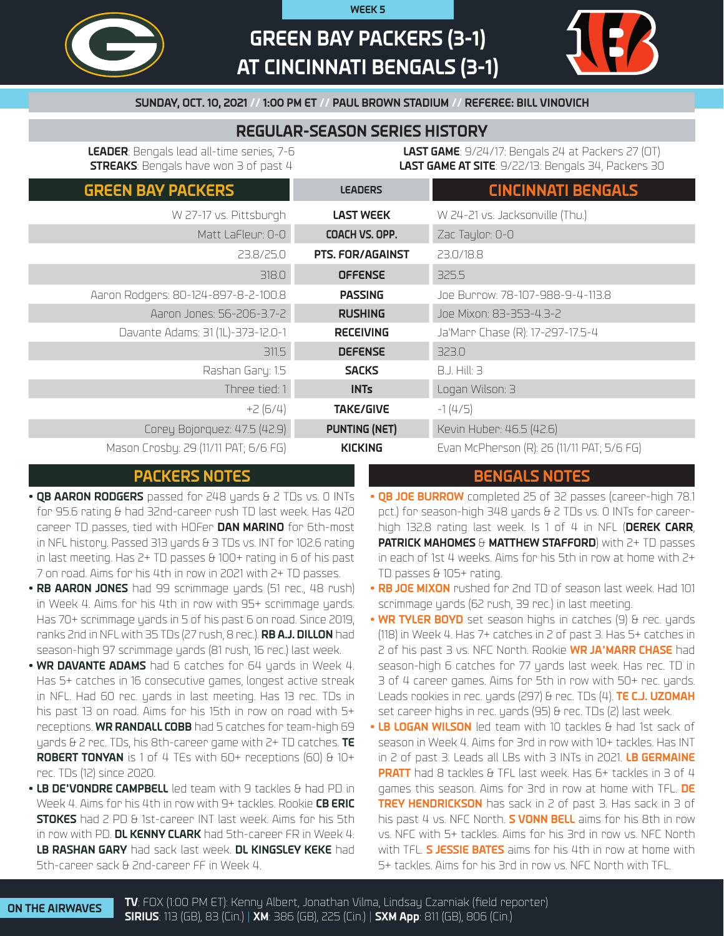

# **GREEN BAY PACKERS (3-1) AT CINCINNATI BENGALS (3-1)**

**WEEK 5**



## **SUNDAY, OCT. 10, 2021 // 1:00 PM ET // PAUL BROWN STADIUM // REFEREE: BILL VINOVICH**

# **REGULAR-SEASON SERIES HISTORY**

**LEADER**: Bengals lead all-time series, 7-6 **STREAKS**: Bengals have won 3 of past 4

**LAST GAME**: 9/24/17: Bengals 24 at Packers 27 (OT) **LAST GAME AT SITE**: 9/22/13: Bengals 34, Packers 30

| <b>GREEN BAY PACKERS</b>             | <b>LEADERS</b>          | <b>CINCINNATI BENGALS</b>                  |
|--------------------------------------|-------------------------|--------------------------------------------|
| W 27-17 vs. Pittsburgh               | <b>LAST WEEK</b>        | W 24-21 vs. Jacksonville (Thu.)            |
| Matt LaFleur: 0-0                    | COACH VS. OPP.          | Zac Taylor: 0-0                            |
| 23.8/25.0                            | <b>PTS. FOR/AGAINST</b> | 23.0/18.8                                  |
| 318.0                                | <b>OFFENSE</b>          | 325.5                                      |
| Aaron Rodgers: 80-124-897-8-2-100.8  | <b>PASSING</b>          | Joe Burrow: 78-107-988-9-4-113.8           |
| Aaron Jones: 56-206-3.7-2            | <b>RUSHING</b>          | Joe Mixon: 83-353-4.3-2                    |
| Davante Adams: 31 (1L)-373-12.0-1    | <b>RECEIVING</b>        | Ja'Marr Chase (R): 17-297-17.5-4           |
| 311.5                                | <b>DEFENSE</b>          | 323.0                                      |
| Rashan Gary: 1.5                     | <b>SACKS</b>            | <b>B.J. Hill: 3</b>                        |
| Three tied: 1                        | <b>INTs</b>             | Logan Wilson: 3                            |
| $+2(6/4)$                            | <b>TAKE/GIVE</b>        | $-1(4/5)$                                  |
| Corey Bojorquez: 47.5 (42.9)         | <b>PUNTING (NET)</b>    | Kevin Huber: 46.5 (42.6)                   |
| Mason Crosby: 29 (11/11 PAT; 6/6 FG) | <b>KICKING</b>          | Evan McPherson (R): 26 (11/11 PAT; 5/6 FG) |

# **PACKERS NOTES BENGALS NOTES**

- **• QB AARON RODGERS** passed for 248 yards & 2 TDs vs. 0 INTs for 95.6 rating & had 32nd-career rush TD last week. Has 420 career TD passes, tied with HOFer **DAN MARINO** for 6th-most in NFL history. Passed 313 yards & 3 TDs vs. INT for 102.6 rating in last meeting. Has 2+ TD passes & 100+ rating in 6 of his past 7 on road. Aims for his 4th in row in 2021 with 2+ TD passes.
- **• RB AARON JONES** had 99 scrimmage yards (51 rec., 48 rush) in Week 4. Aims for his 4th in row with 95+ scrimmage yards. Has 70+ scrimmage yards in 5 of his past 6 on road. Since 2019, ranks 2nd in NFL with 35 TDs (27 rush, 8 rec.). **RB A.J. DILLON** had season-high 97 scrimmage yards (81 rush, 16 rec.) last week.
- **WR DAVANTE ADAMS** had 6 catches for 64 yards in Week 4. Has 5+ catches in 16 consecutive games, longest active streak in NFL. Had 60 rec. yards in last meeting. Has 13 rec. TDs in his past 13 on road. Aims for his 15th in row on road with 5+ receptions. **WR RANDALL COBB** had 5 catches for team-high 69 yards & 2 rec. TDs, his 8th-career game with 2+ TD catches. **TE ROBERT TONYAN** is 1 of 4 TEs with 60+ receptions (60) & 10+ rec. TDs (12) since 2020.
- **• LB DE'VONDRE CAMPBELL** led team with 9 tackles & had PD in Week 4. Aims for his 4th in row with 9+ tackles. Rookie **CB ERIC STOKES** had 2 PD & 1st-career INT last week. Aims for his 5th in row with PD. **DL KENNY CLARK** had 5th-career FR in Week 4. **LB RASHAN GARY** had sack last week. **DL KINGSLEY KEKE** had 5th-career sack & 2nd-career FF in Week 4.

- **• QB JOE BURROW** completed 25 of 32 passes (career-high 78.1 pct.) for season-high 348 yards & 2 TDs vs. 0 INTs for careerhigh 132.8 rating last week. Is 1 of 4 in NFL (**DEREK CARR**, **PATRICK MAHOMES** & **MATTHEW STAFFORD**) with 2+ TD passes in each of 1st 4 weeks. Aims for his 5th in row at home with 2+ TD passes & 105+ rating.
- **• RB JOE MIXON** rushed for 2nd TD of season last week. Had 101 scrimmage yards (62 rush, 39 rec.) in last meeting.
- **• WR TYLER BOYD** set season highs in catches (9) & rec. yards (118) in Week 4. Has 7+ catches in 2 of past 3. Has 5+ catches in 2 of his past 3 vs. NFC North. Rookie **WR JA'MARR CHASE** had season-high 6 catches for 77 yards last week. Has rec. TD in 3 of 4 career games. Aims for 5th in row with 50+ rec. yards. Leads rookies in rec. yards (297) & rec. TDs (4). **TE C.J. UZOMAH**  set career highs in rec. yards (95) & rec. TDs (2) last week.
- **• LB LOGAN WILSON** led team with 10 tackles & had 1st sack of season in Week 4. Aims for 3rd in row with 10+ tackles. Has INT in 2 of past 3. Leads all LBs with 3 INTs in 2021. **LB GERMAINE PRATT** had 8 tackles & TFL last week. Has 6+ tackles in 3 of 4 games this season. Aims for 3rd in row at home with TFL. **DE TREY HENDRICKSON** has sack in 2 of past 3. Has sack in 3 of his past 4 vs. NFC North. **S VONN BELL** aims for his 8th in row vs. NFC with 5+ tackles. Aims for his 3rd in row vs. NFC North with TFL. **S JESSIE BATES** aims for his 4th in row at home with 5+ tackles. Aims for his 3rd in row vs. NFC North with TFL.

**ON THE AIRWAVES TV**: FOX (1:00 PM ET): Kenny Albert, Jonathan Vilma, Lindsay Czarniak (field reporter) **SIRIUS**: 113 (GB), 83 (Cin.) | **XM**: 386 (GB), 225 (Cin.) | **SXM App**: 811 (GB), 806 (Cin.)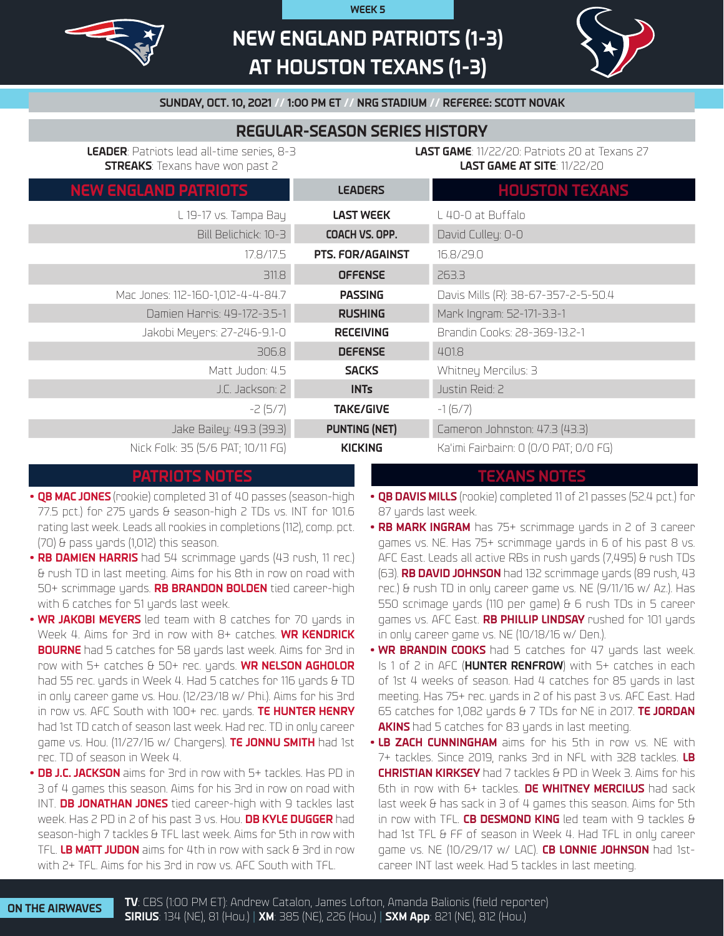

# **NEW ENGLAND PATRIOTS (1-3) AT HOUSTON TEXANS (1-3)**

**WEEK 5**



**SUNDAY, OCT. 10, 2021 // 1:00 PM ET // NRG STADIUM // REFEREE: SCOTT NOVAK**

# **REGULAR-SEASON SERIES HISTORY**

**LEADER**: Patriots lead all-time series, 8-3 **STREAKS**: Texans have won past 2

**LAST GAME**: 11/22/20: Patriots 20 at Texans 27 **LAST GAME AT SITE**: 11/22/20

| <b>NEW ENGLAND PATRIOTS</b>       | <b>LEADERS</b>          | <b>HOUSTON TEXANS</b>                 |
|-----------------------------------|-------------------------|---------------------------------------|
| L 19-17 vs. Tampa Bay             | <b>LAST WEEK</b>        | L 40-0 at Buffalo                     |
| Bill Belichick: 10-3              | COACH VS. OPP.          | David Culley: 0-0                     |
| 17.8/17.5                         | <b>PTS. FOR/AGAINST</b> | 16.8/29.0                             |
| 311.8                             | <b>OFFENSE</b>          | 263.3                                 |
| Mac Jones: 112-160-1,012-4-4-84.7 | <b>PASSING</b>          | Davis Mills (R): 38-67-357-2-5-50.4   |
| Damien Harris: 49-172-3.5-1       | <b>RUSHING</b>          | Mark Ingram: 52-171-3.3-1             |
| Jakobi Meyers: 27-246-9.1-0       | <b>RECEIVING</b>        | Brandin Cooks: 28-369-13.2-1          |
| 306.8                             | <b>DEFENSE</b>          | 401.8                                 |
| Matt Judon: 4.5                   | <b>SACKS</b>            | Whitney Mercilus: 3                   |
| J.C. Jackson: 2                   | <b>INTs</b>             | Justin Reid: 2                        |
| $-2(5/7)$                         | <b>TAKE/GIVE</b>        | $-1(6/7)$                             |
| Jake Bailey: 49.3 (39.3)          | <b>PUNTING (NET)</b>    | Cameron Johnston: 47.3 (43.3)         |
| Nick Folk: 35 (5/6 PAT; 10/11 FG) | <b>KICKING</b>          | Ka'imi Fairbairn: 0 (0/0 PAT; 0/0 FG) |

## **PATRIOTS NOTES TEXANS NOTES**

- **• QB MAC JONES** (rookie) completed 31 of 40 passes (season-high 77.5 pct.) for 275 yards & season-high 2 TDs vs. INT for 101.6 rating last week. Leads all rookies in completions (112), comp. pct. (70) & pass yards (1,012) this season.
- **• RB DAMIEN HARRIS** had 54 scrimmage yards (43 rush, 11 rec.) & rush TD in last meeting. Aims for his 8th in row on road with 50+ scrimmage yards. **RB BRANDON BOLDEN** tied career-high with 6 catches for 51 yards last week.
- **WR JAKOBI MEYERS** led team with 8 catches for 70 yards in Week 4. Aims for 3rd in row with 8+ catches. **WR KENDRICK BOURNE** had 5 catches for 58 yards last week. Aims for 3rd in row with 5+ catches & 50+ rec. yards. **WR NELSON AGHOLOR** had 55 rec. yards in Week 4. Had 5 catches for 116 yards & TD in only career game vs. Hou. (12/23/18 w/ Phi.). Aims for his 3rd in row vs. AFC South with 100+ rec. yards. **TE HUNTER HENRY** had 1st TD catch of season last week. Had rec. TD in only career game vs. Hou. (11/27/16 w/ Chargers). **TE JONNU SMITH** had 1st rec. TD of season in Week 4.
- **• DB J.C. JACKSON** aims for 3rd in row with 5+ tackles. Has PD in 3 of 4 games this season. Aims for his 3rd in row on road with INT. **DB JONATHAN JONES** tied career-high with 9 tackles last week. Has 2 PD in 2 of his past 3 vs. Hou. **DB KYLE DUGGER** had season-high 7 tackles & TFL last week. Aims for 5th in row with TFL. **LB MATT JUDON** aims for 4th in row with sack & 3rd in row with 2+ TFL. Aims for his 3rd in row vs. AFC South with TFL.

- **• QB DAVIS MILLS** (rookie) completed 11 of 21 passes (52.4 pct.) for 87 yards last week.
- **• RB MARK INGRAM** has 75+ scrimmage yards in 2 of 3 career games vs. NE. Has 75+ scrimmage yards in 6 of his past 8 vs. AFC East. Leads all active RBs in rush yards (7,495) & rush TDs (63). **RB DAVID JOHNSON** had 132 scrimmage yards (89 rush, 43 rec.) & rush TD in only career game vs. NE (9/11/16 w/ Az.). Has 550 scrimage yards (110 per game) & 6 rush TDs in 5 career games vs. AFC East. **RB PHILLIP LINDSAY** rushed for 101 yards in only career game vs. NE (10/18/16 w/ Den.).
- **• WR BRANDIN COOKS** had 5 catches for 47 yards last week. Is 1 of 2 in AFC (**HUNTER RENFROW**) with 5+ catches in each of 1st 4 weeks of season. Had 4 catches for 85 uards in last meeting. Has 75+ rec. yards in 2 of his past 3 vs. AFC East. Had 65 catches for 1,082 yards & 7 TDs for NE in 2017. **TE JORDAN AKINS** had 5 catches for 83 yards in last meeting.
- **• LB ZACH CUNNINGHAM** aims for his 5th in row vs. NE with 7+ tackles. Since 2019, ranks 3rd in NFL with 328 tackles. **LB CHRISTIAN KIRKSEY** had 7 tackles & PD in Week 3. Aims for his 6th in row with 6+ tackles. **DE WHITNEY MERCILUS** had sack last week & has sack in 3 of 4 games this season. Aims for 5th in row with TFL. **CB DESMOND KING** led team with 9 tackles & had 1st TFL & FF of season in Week 4. Had TFL in only career game vs. NE (10/29/17 w/ LAC). **CB LONNIE JOHNSON** had 1stcareer INT last week. Had 5 tackles in last meeting.

**ON THE AIRWAVES TV**: CBS (1:00 PM ET): Andrew Catalon, James Lofton, Amanda Balionis (field reporter) **SIRIUS**: 134 (NE), 81 (Hou.) | **XM**: 385 (NE), 226 (Hou.) | **SXM App**: 821 (NE), 812 (Hou.)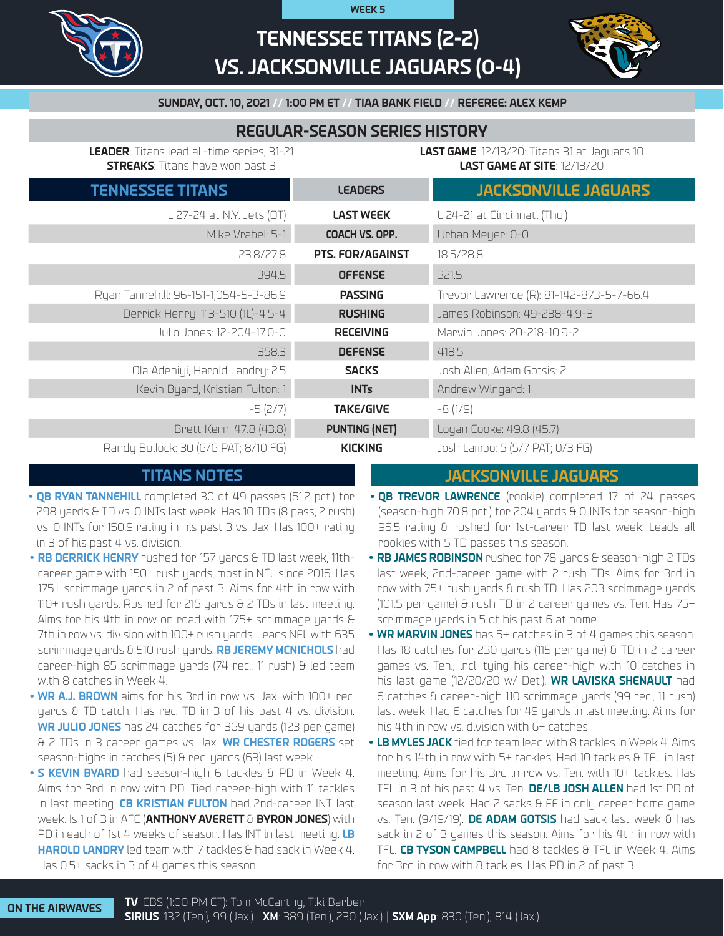

# **TENNESSEE TITANS (2-2) VS. JACKSONVILLE JAGUARS (0-4)**

**WEEK 5**



## **SUNDAY, OCT. 10, 2021 // 1:00 PM ET // TIAA BANK FIELD // REFEREE: ALEX KEMP**

# **REGULAR-SEASON SERIES HISTORY**

**LEADER**: Titans lead all-time series, 31-21 **STREAKS**: Titans have won past 3

**LAST GAME**: 12/13/20: Titans 31 at Jaguars 10 **LAST GAME AT SITE**: 12/13/20

| <b>TENNESSEE TITANS</b>               | <b>LEADERS</b>       | <b>JACKSONVILLE JAGUARS</b>              |
|---------------------------------------|----------------------|------------------------------------------|
| L 27-24 at N.Y. Jets (OT)             | <b>LAST WEEK</b>     | L 24-21 at Cincinnati (Thu.)             |
| Mike Vrabel: 5-1                      | COACH VS. OPP.       | Urban Meyer: 0-0                         |
| 23.8/27.8                             | PTS. FOR/AGAINST     | 18.5/28.8                                |
| 394.5                                 | <b>OFFENSE</b>       | 321.5                                    |
| Ryan Tannehill: 96-151-1,054-5-3-86.9 | <b>PASSING</b>       | Trevor Lawrence (R): 81-142-873-5-7-66.4 |
| Derrick Henry: 113-510 (1L)-4.5-4     | <b>RUSHING</b>       | James Robinson: 49-238-4.9-3             |
| Julio Jones: 12-204-17.0-0            | <b>RECEIVING</b>     | Marvin Jones: 20-218-10.9-2              |
| 358.3                                 | <b>DEFENSE</b>       | 418.5                                    |
| Ola Adeniyi, Harold Landry: 2.5       | <b>SACKS</b>         | Josh Allen, Adam Gotsis: 2               |
| Kevin Byard, Kristian Fulton: 1       | <b>INTs</b>          | Andrew Wingard: 1                        |
| $-5(2/7)$                             | <b>TAKE/GIVE</b>     | $-8(1/9)$                                |
| Brett Kern: 47.8 (43.8)               | <b>PUNTING (NET)</b> | Logan Cooke: 49.8 (45.7)                 |
| Randy Bullock: 30 (6/6 PAT; 8/10 FG)  | <b>KICKING</b>       | Josh Lambo: 5 (5/7 PAT; 0/3 FG)          |

# **TITANS NOTES**

- **• QB RYAN TANNEHILL** completed 30 of 49 passes (61.2 pct.) for 298 yards & TD vs. 0 INTs last week. Has 10 TDs (8 pass, 2 rush) vs. 0 INTs for 150.9 rating in his past 3 vs. Jax. Has 100+ rating in 3 of his past 4 vs. division.
- **• RB DERRICK HENRY** rushed for 157 yards & TD last week, 11thcareer game with 150+ rush yards, most in NFL since 2016. Has 175+ scrimmage yards in 2 of past 3. Aims for 4th in row with 110+ rush yards. Rushed for 215 yards & 2 TDs in last meeting. Aims for his 4th in row on road with 175+ scrimmage yards & 7th in row vs. division with 100+ rush yards. Leads NFL with 635 scrimmage yards & 510 rush yards. **RB JEREMY MCNICHOLS** had career-high 85 scrimmage yards (74 rec., 11 rush) & led team with 8 catches in Week 4.
- **• WR A.J. BROWN** aims for his 3rd in row vs. Jax. with 100+ rec. yards & TD catch. Has rec. TD in 3 of his past 4 vs. division. **WR JULIO JONES** has 24 catches for 369 yards (123 per game) & 2 TDs in 3 career games vs. Jax. **WR CHESTER ROGERS** set season-highs in catches (5) & rec. yards (63) last week.
- **• S KEVIN BYARD** had season-high 6 tackles & PD in Week 4. Aims for 3rd in row with PD. Tied career-high with 11 tackles in last meeting. **CB KRISTIAN FULTON** had 2nd-career INT last week. Is 1 of 3 in AFC (**ANTHONY AVERETT** & **BYRON JONES**) with PD in each of 1st 4 weeks of season. Has INT in last meeting. **LB HAROLD LANDRY** led team with 7 tackles & had sack in Week 4. Has 0.5+ sacks in 3 of 4 games this season.

# **JACKSONVILLE JAGUARS**

- **• QB TREVOR LAWRENCE** (rookie) completed 17 of 24 passes (season-high 70.8 pct.) for 204 yards & 0 INTs for season-high 96.5 rating & rushed for 1st-career TD last week. Leads all rookies with 5 TD passes this season.
- **• RB JAMES ROBINSON** rushed for 78 yards & season-high 2 TDs last week, 2nd-career game with 2 rush TDs. Aims for 3rd in row with 75+ rush yards & rush TD. Has 203 scrimmage yards (101.5 per game) & rush TD in 2 career games vs. Ten. Has 75+ scrimmage yards in 5 of his past 6 at home.
- **• WR MARVIN JONES** has 5+ catches in 3 of 4 games this season. Has 18 catches for 230 yards (115 per game) & TD in 2 career games vs. Ten., incl. tying his career-high with 10 catches in his last game (12/20/20 w/ Det.). **WR LAVISKA SHENAULT** had 6 catches & career-high 110 scrimmage yards (99 rec., 11 rush) last week. Had 6 catches for 49 yards in last meeting. Aims for his 4th in row vs. division with 6+ catches.
- **• LB MYLES JACK** tied for team lead with 8 tackles in Week 4. Aims for his 14th in row with 5+ tackles. Had 10 tackles & TFL in last meeting. Aims for his 3rd in row vs. Ten. with 10+ tackles. Has TFL in 3 of his past 4 vs. Ten. **DE/LB JOSH ALLEN** had 1st PD of season last week. Had 2 sacks & FF in only career home game vs. Ten. (9/19/19). **DE ADAM GOTSIS** had sack last week & has sack in 2 of 3 games this season. Aims for his 4th in row with TFL. **CB TYSON CAMPBELL** had 8 tackles & TFL in Week 4. Aims for 3rd in row with 8 tackles. Has PD in 2 of past 3.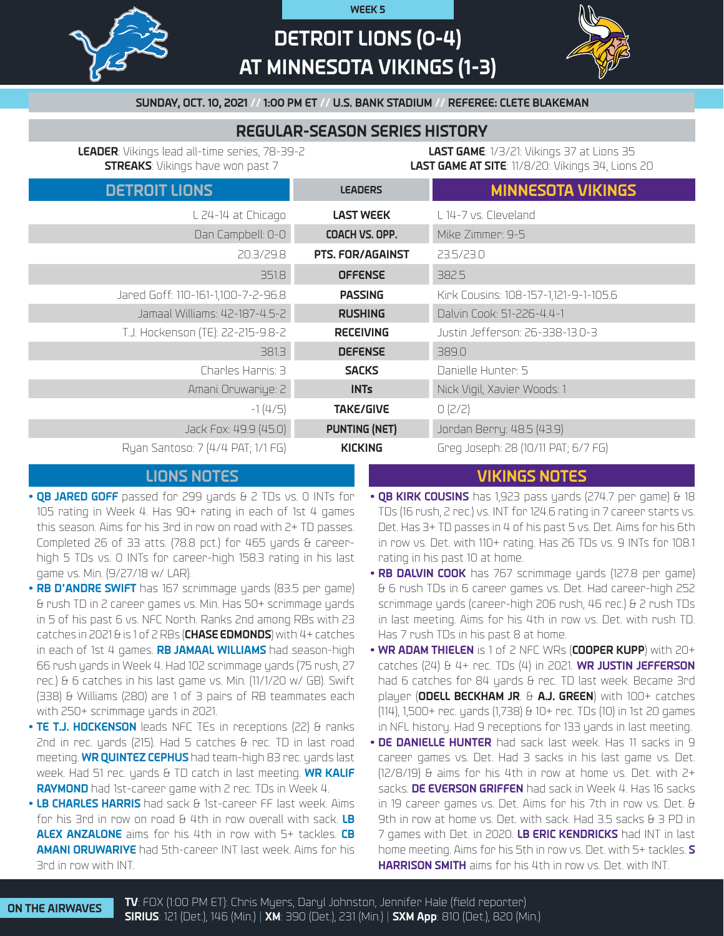

# **DETROIT LIONS (0-4) AT MINNESOTA VIKINGS (1-3)**

**WEEK 5**



**SUNDAY, OCT. 10, 2021 // 1:00 PM ET // U.S. BANK STADIUM // REFEREE: CLETE BLAKEMAN**

# **REGULAR-SEASON SERIES HISTORY**

**LEADER**: Vikings lead all-time series, 78-39-2 **STREAKS**: Vikings have won past 7

**LAST GAME**: 1/3/21: Vikings 37 at Lions 35 **LAST GAME AT SITE**: 11/8/20: Vikings 34, Lions 20

| <b>DETROIT LIONS</b>               | <b>LEADERS</b>          | <b>MINNESOTA VIKINGS</b>              |
|------------------------------------|-------------------------|---------------------------------------|
| L 24-14 at Chicago                 | <b>LAST WEEK</b>        | L 14-7 vs. Cleveland                  |
| Dan Campbell: 0-0                  | COACH VS. OPP.          | Mike Zimmer: 9-5                      |
| 20.3/29.8                          | <b>PTS. FOR/AGAINST</b> | 23.5/23.0                             |
| 351.8                              | <b>OFFENSE</b>          | 382.5                                 |
| Jared Goff: 110-161-1,100-7-2-96.8 | <b>PASSING</b>          | Kirk Cousins: 108-157-1,121-9-1-105.6 |
| Jamaal Williams: 42-187-4.5-2      | <b>RUSHING</b>          | Dalvin Cook: 51-226-4.4-1             |
| T.J. Hockenson (TE): 22-215-9.8-2  | <b>RECEIVING</b>        | Justin Jefferson: 26-338-13.0-3       |
| 381.3                              | <b>DEFENSE</b>          | 389.0                                 |
| Charles Harris: 3                  | <b>SACKS</b>            | Danielle Hunter: 5                    |
| Amani Oruwariye: 2                 | <b>INTs</b>             | Nick Vigil, Xavier Woods: 1           |
| $-1(4/5)$                          | <b>TAKE/GIVE</b>        | O(2/2)                                |
| Jack Fox: 49.9 (45.0)              | <b>PUNTING (NET)</b>    | Jordan Berry: 48.5 (43.9)             |
| Ryan Santoso: 7 (4/4 PAT; 1/1 FG)  | <b>KICKING</b>          | Greg Joseph: 28 (10/11 PAT; 6/7 FG)   |

# **LIONS NOTES VIKINGS NOTES**

- **• QB JARED GOFF** passed for 299 yards & 2 TDs vs. 0 INTs for 105 rating in Week 4. Has 90+ rating in each of 1st 4 games this season. Aims for his 3rd in row on road with 2+ TD passes. Completed 26 of 33 atts. (78.8 pct.) for 465 yards  $\theta$  careerhigh 5 TDs vs. 0 INTs for career-high 158.3 rating in his last game vs. Min. (9/27/18 w/ LAR).
- **• RB D'ANDRE SWIFT** has 167 scrimmage yards (83.5 per game) & rush TD in 2 career games vs. Min. Has 50+ scrimmage yards in 5 of his past 6 vs. NFC North. Ranks 2nd among RBs with 23 catches in 2021 & is 1 of 2 RBs (**CHASE EDMONDS**) with 4+ catches in each of 1st 4 games. **RB JAMAAL WILLIAMS** had season-high 66 rush yards in Week 4. Had 102 scrimmage yards (75 rush, 27 rec.) & 6 catches in his last game vs. Min. (11/1/20 w/ GB). Swift (338) & Williams (280) are 1 of 3 pairs of RB teammates each with 250+ scrimmage yards in 2021.
- **• TE T.J. HOCKENSON** leads NFC TEs in receptions (22) & ranks 2nd in rec. yards (215). Had 5 catches & rec. TD in last road meeting. **WR QUINTEZ CEPHUS** had team-high 83 rec. yards last week. Had 51 rec. yards & TD catch in last meeting. **WR KALIF RAYMOND** had 1st-career game with 2 rec. TDs in Week 4.
- **• LB CHARLES HARRIS** had sack & 1st-career FF last week. Aims for his 3rd in row on road & 4th in row overall with sack. **LB ALEX ANZALONE** aims for his 4th in row with 5+ tackles. **CB AMANI ORUWARIYE** had 5th-career INT last week. Aims for his 3rd in row with INT.
- 
- **• QB KIRK COUSINS** has 1,923 pass yards (274.7 per game) & 18 TDs (16 rush, 2 rec.) vs. INT for 124.6 rating in 7 career starts vs. Det. Has 3+ TD passes in 4 of his past 5 vs. Det. Aims for his 6th in row vs. Det. with 110+ rating. Has 26 TDs vs. 9 INTs for 108.1 rating in his past 10 at home.
- **• RB DALVIN COOK** has 767 scrimmage yards (127.8 per game) & 6 rush TDs in 6 career games vs. Det. Had career-high 252 scrimmage yards (career-high 206 rush, 46 rec.) & 2 rush TDs in last meeting. Aims for his 4th in row vs. Det. with rush TD. Has 7 rush TDs in his past 8 at home.
- **• WR ADAM THIELEN** is 1 of 2 NFC WRs (**COOPER KUPP**) with 20+ catches (24) & 4+ rec. TDs (4) in 2021. **WR JUSTIN JEFFERSON** had 6 catches for 84 yards & rec. TD last week. Became 3rd player (**ODELL BECKHAM JR**. & **A.J. GREEN**) with 100+ catches (114), 1,500+ rec. yards (1,738) & 10+ rec. TDs (10) in 1st 20 games in NFL history. Had 9 receptions for 133 yards in last meeting.
- **• DE DANIELLE HUNTER** had sack last week. Has 11 sacks in 9 career games vs. Det. Had 3 sacks in his last game vs. Det. (12/8/19) & aims for his 4th in row at home vs. Det. with 2+ sacks. **DE EVERSON GRIFFEN** had sack in Week 4. Has 16 sacks in 19 career games vs. Det. Aims for his 7th in row vs. Det. & 9th in row at home vs. Det. with sack. Had 3.5 sacks & 3 PD in 7 games with Det. in 2020. **LB ERIC KENDRICKS** had INT in last home meeting. Aims for his 5th in row vs. Det. with 5+ tackles. **S HARRISON SMITH** aims for his 4th in row vs. Det. with INT.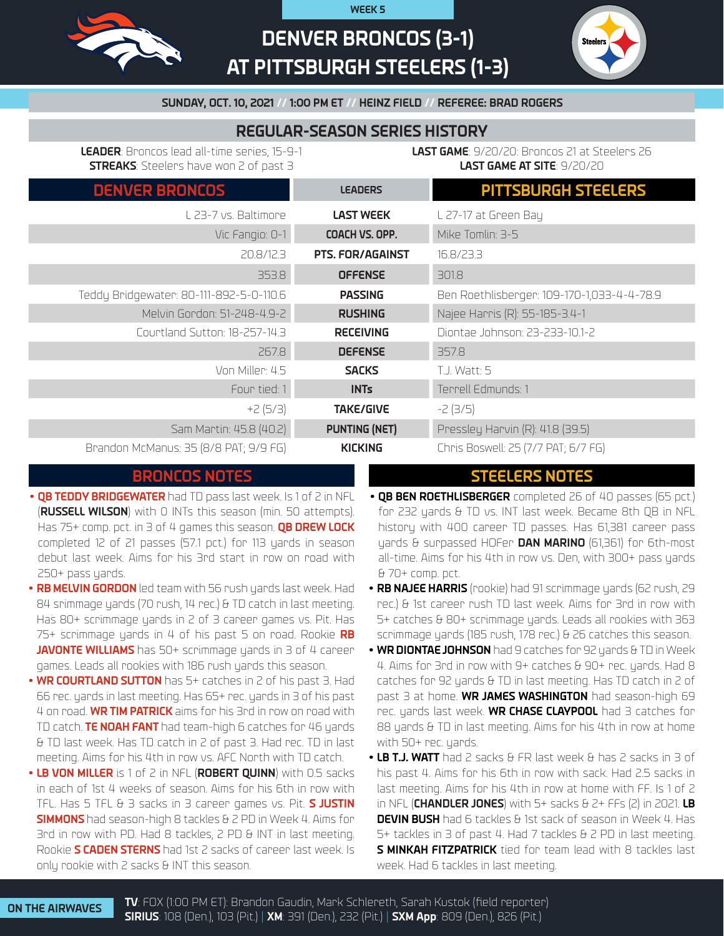

# **DENVER BRONCOS (3-1) AT PITTSBURGH STEELERS (1-3)**

**WEEK 5**



## **SUNDAY, OCT. 10, 2021 // 1:00 PM ET // HEINZ FIELD // REFEREE: BRAD ROGERS**

# **REGULAR-SEASON SERIES HISTORY**

**LEADER**: Broncos lead all-time series, 15-9-1 **STREAKS**: Steelers have won 2 of past 3

**LAST GAME**: 9/20/20: Broncos 21 at Steelers 26 **LAST GAME AT SITE**: 9/20/20

| <b>DENVER BRONCOS</b>                   | <b>LEADERS</b>          | <b>PITTSBURGH STEELERS</b>                 |
|-----------------------------------------|-------------------------|--------------------------------------------|
| L 23-7 vs. Baltimore                    | <b>LAST WEEK</b>        | L 27-17 at Green Bay                       |
| Vic Fangio: 0-1                         | COACH VS. OPP.          | Mike Tomlin: 3-5                           |
| 20.8/12.3                               | <b>PTS. FOR/AGAINST</b> | 16.8/23.3                                  |
| 353.8                                   | <b>OFFENSE</b>          | 301.8                                      |
| Teddy Bridgewater: 80-111-892-5-0-110.6 | <b>PASSING</b>          | Ben Roethlisberger: 109-170-1,033-4-4-78.9 |
| Melvin Gordon: 51-248-4.9-2             | <b>RUSHING</b>          | Najee Harris (R): 55-185-3.4-1             |
| Courtland Sutton: 18-257-14.3           | <b>RECEIVING</b>        | Diontae Johnson: 23-233-10.1-2             |
| 267.8                                   | <b>DEFENSE</b>          | 357.8                                      |
| Von Miller: 4.5                         | <b>SACKS</b>            | T.J. Watt: 5                               |
| Four tied: 1                            | <b>INTs</b>             | Terrell Edmunds: 1                         |
| $+2(5/3)$                               | <b>TAKE/GIVE</b>        | $-2(3/5)$                                  |
| Sam Martin: 45.8 (40.2)                 | <b>PUNTING (NET)</b>    | Pressley Harvin (R): 41.8 (39.5)           |
| Brandon McManus: 35 (8/8 PAT; 9/9 FG)   | <b>KICKING</b>          | Chris Boswell: 25 (7/7 PAT; 6/7 FG)        |

- **• QB TEDDY BRIDGEWATER** had TD pass last week. Is 1 of 2 in NFL (**RUSSELL WILSON**) with 0 INTs this season (min. 50 attempts). Has 75+ comp. pct. in 3 of 4 games this season. **QB DREW LOCK**  completed 12 of 21 passes (57.1 pct.) for 113 yards in season debut last week. Aims for his 3rd start in row on road with 250+ pass yards.
- **• RB MELVIN GORDON** led team with 56 rush yards last week. Had 84 srimmage yards (70 rush, 14 rec.) & TD catch in last meeting. Has 80+ scrimmage yards in 2 of 3 career games vs. Pit. Has 75+ scrimmage yards in 4 of his past 5 on road. Rookie **RB JAVONTE WILLIAMS** has 50+ scrimmage yards in 3 of 4 career games. Leads all rookies with 186 rush yards this season.
- **• WR COURTLAND SUTTON** has 5+ catches in 2 of his past 3. Had 66 rec. yards in last meeting. Has 65+ rec. yards in 3 of his past 4 on road. **WR TIM PATRICK** aims for his 3rd in row on road with TD catch. **TE NOAH FANT** had team-high 6 catches for 46 yards & TD last week. Has TD catch in 2 of past 3. Had rec. TD in last meeting. Aims for his 4th in row vs. AFC North with TD catch.
- **• LB VON MILLER** is 1 of 2 in NFL (**ROBERT QUINN**) with 0.5 sacks in each of 1st 4 weeks of season. Aims for his 6th in row with TFL. Has 5 TFL & 3 sacks in 3 career games vs. Pit. **S JUSTIN SIMMONS** had season-high 8 tackles & 2 PD in Week 4. Aims for 3rd in row with PD. Had 8 tackles, 2 PD & INT in last meeting. Rookie **S CADEN STERNS** had 1st 2 sacks of career last week. Is only rookie with 2 sacks & INT this season.

# **BRONCOS NOTES STEELERS NOTES**

- **• QB BEN ROETHLISBERGER** completed 26 of 40 passes (65 pct.) for 232 yards & TD vs. INT last week. Became 8th OB in NFL history with 400 career TD passes. Has 61,381 career pass yards & surpassed HOFer **DAN MARINO** (61,361) for 6th-most all-time. Aims for his 4th in row vs. Den, with 300+ pass yards & 70+ comp. pct.
- **• RB NAJEE HARRIS** (rookie) had 91 scrimmage yards (62 rush, 29 rec.) & 1st career rush TD last week. Aims for 3rd in row with 5+ catches & 80+ scrimmage yards. Leads all rookies with 363 scrimmage yards (185 rush, 178 rec.) & 26 catches this season.
- **• WR DIONTAE JOHNSON** had 9 catches for 92 yards & TD in Week 4. Aims for 3rd in row with 9+ catches & 90+ rec. yards. Had 8 catches for 92 yards & TD in last meeting. Has TD catch in 2 of past 3 at home. **WR JAMES WASHINGTON** had season-high 69 rec. yards last week. **WR CHASE CLAYPOOL** had 3 catches for 88 yards & TD in last meeting. Aims for his 4th in row at home with 50+ rec. yards.
- **• LB T.J. WATT** had 2 sacks & FR last week & has 2 sacks in 3 of his past 4. Aims for his 6th in row with sack. Had 2.5 sacks in last meeting. Aims for his 4th in row at home with FF. Is 1 of 2 in NFL (**CHANDLER JONES**) with 5+ sacks & 2+ FFs (2) in 2021. **LB DEVIN BUSH** had 6 tackles & 1st sack of season in Week 4. Has 5+ tackles in 3 of past 4. Had 7 tackles & 2 PD in last meeting. **S MINKAH FITZPATRICK** tied for team lead with 8 tackles last week. Had 6 tackles in last meeting.

**ON THE AIRWAVES TV**: FOX (1:00 PM ET): Brandon Gaudin, Mark Schlereth, Sarah Kustok (field reporter) **SIRIUS**: 108 (Den.), 103 (Pit.) | **XM**: 391 (Den.), 232 (Pit.) | **SXM App**: 809 (Den.), 826 (Pit.)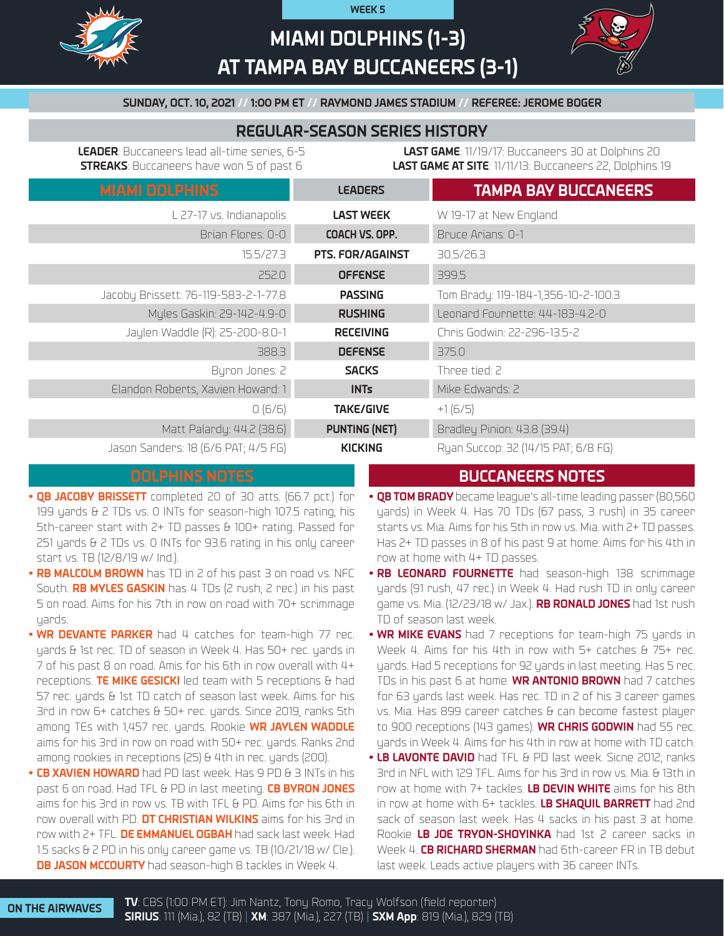

# **MIAMI DOLPHINS (1-3) AT TAMPA BAY BUCCANEERS (3-1)**

**WEEK 5**



### **SUNDAY, OCT. 10, 2021 // 1:00 PM ET // RAYMOND JAMES STADIUM // REFEREE: JEROME BOGER**

## **REGULAR-SEASON SERIES HISTORY**

**LEADER**: Buccaneers lead all-time series, 6-5 **STREAKS**: Buccaneers have won 5 of past 6

**LAST GAME**: 11/19/17: Buccaneers 30 at Dolphins 20 **LAST GAME AT SITE**: 11/11/13: Buccaneers 22, Dolphins 19

| <b>MIAMI DOLPHINS</b>                | <b>LEADERS</b>          | <b>TAMPA BAY BUCCANEERS</b>         |
|--------------------------------------|-------------------------|-------------------------------------|
| L 27-17 vs. Indianapolis             | <b>LAST WEEK</b>        | W 19-17 at New England              |
| Brian Flores: 0-0                    | COACH VS. OPP.          | Bruce Arians: 0-1                   |
| 15.5/27.3                            | <b>PTS. FOR/AGAINST</b> | 30.5/26.3                           |
| 252.0                                | <b>OFFENSE</b>          | 399.5                               |
| Jacoby Brissett: 76-119-583-2-1-77.8 | <b>PASSING</b>          | Tom Brady: 119-184-1,356-10-2-100.3 |
| Myles Gaskin: 29-142-4.9-0           | <b>RUSHING</b>          | Leonard Fournette: 44-183-4.2-0     |
| Jaylen Waddle (R): 25-200-8.0-1      | <b>RECEIVING</b>        | Chris Godwin: 22-296-13.5-2         |
| 388.3                                | <b>DEFENSE</b>          | 375.0                               |
| Byron Jones: 2                       | <b>SACKS</b>            | Three tied: 2                       |
| Elandon Roberts, Xavien Howard: 1    | <b>INTs</b>             | Mike Edwards: 2                     |
| 0(6/6)                               | <b>TAKE/GIVE</b>        | $+1(6/5)$                           |
| Matt Palardy: 44.2 (38.6)            | <b>PUNTING (NET)</b>    | Bradley Pinion: 43.8 (39.4)         |
| Jason Sanders: 18 (6/6 PAT; 4/5 FG)  | <b>KICKING</b>          | Ryan Succop: 32 (14/15 PAT; 6/8 FG) |

# **DOLPHINS NOTES BUCCANEERS NOTES**

- **• QB JACOBY BRISSETT** completed 20 of 30 atts. (66.7 pct.) for 199 yards & 2 TDs vs. 0 INTs for season-high 107.5 rating, his 5th-career start with 2+ TD passes & 100+ rating. Passed for 251 yards & 2 TDs vs. 0 INTs for 93.6 rating in his only career start vs. TB (12/8/19 w/ Ind.).
- **• RB MALCOLM BROWN** has TD in 2 of his past 3 on road vs. NFC South. **RB MYLES GASKIN** has 4 TDs (2 rush, 2 rec.) in his past 5 on road. Aims for his 7th in row on road with 70+ scrimmage yards.
- **• WR DEVANTE PARKER** had 4 catches for team-high 77 rec. yards & 1st rec. TD of season in Week 4. Has 50+ rec. yards in 7 of his past 8 on road. Amis for his 6th in row overall with 4+ receptions. **TE MIKE GESICKI** led team with 5 receptions & had 57 rec. yards & 1st TD catch of season last week. Aims for his 3rd in row 6+ catches & 50+ rec. yards. Since 2019, ranks 5th among TEs with 1,457 rec. yards. Rookie **WR JAYLEN WADDLE**  aims for his 3rd in row on road with 50+ rec. yards. Ranks 2nd among rookies in receptions (25) & 4th in rec. yards (200).
- **• CB XAVIEN HOWARD** had PD last week. Has 9 PD & 3 INTs in his past 6 on road. Had TFL & PD in last meeting. **CB BYRON JONES** aims for his 3rd in row vs. TB with TFL & PD. Aims for his 6th in row overall with PD. **DT CHRISTIAN WILKINS** aims for his 3rd in row with 2+ TFL. **DE EMMANUEL OGBAH** had sack last week. Had 1.5 sacks & 2 PD in his only career game vs. TB (10/21/18 w/ Cle.). **DB JASON MCCOURTY** had season-high 8 tackles in Week 4.
- **• QB TOM BRADY** became league's all-time leading passer (80,560 yards) in Week 4. Has 70 TDs (67 pass, 3 rush) in 35 career starts vs. Mia. Aims for his 5th in row vs. Mia. with 2+ TD passes. Has 2+ TD passes in 8 of his past 9 at home. Aims for his 4th in row at home with 4+ TD passes.
- **• RB LEONARD FOURNETTE** had season-high 138 scrimmage yards (91 rush, 47 rec.) in Week 4. Had rush TD in only career game vs. Mia. (12/23/18 w/ Jax.). **RB RONALD JONES** had 1st rush TD of season last week.
- **• WR MIKE EVANS** had 7 receptions for team-high 75 yards in Week 4. Aims for his 4th in row with 5+ catches & 75+ rec. yards. Had 5 receptions for 92 yards in last meeting. Has 5 rec. TDs in his past 6 at home. **WR ANTONIO BROWN** had 7 catches for 63 yards last week. Has rec. TD in 2 of his 3 career games vs. Mia. Has 899 career catches & can become fastest player to 900 receptions (143 games). **WR CHRIS GODWIN** had 55 rec. yards in Week 4. Aims for his 4th in row at home with TD catch.
- **• LB LAVONTE DAVID** had TFL & PD last week. Sicne 2012, ranks 3rd in NFL with 129 TFL. Aims for his 3rd in row vs. Mia. & 13th in row at home with 7+ tackles. **LB DEVIN WHITE** aims for his 8th in row at home with 6+ tackles. **LB SHAQUIL BARRETT** had 2nd sack of season last week. Has 4 sacks in his past 3 at home. Rookie **LB JOE TRYON-SHOYINKA** had 1st 2 career sacks in Week 4. **CB RICHARD SHERMAN** had 6th-career FR in TB debut last week. Leads active players with 36 career INTs.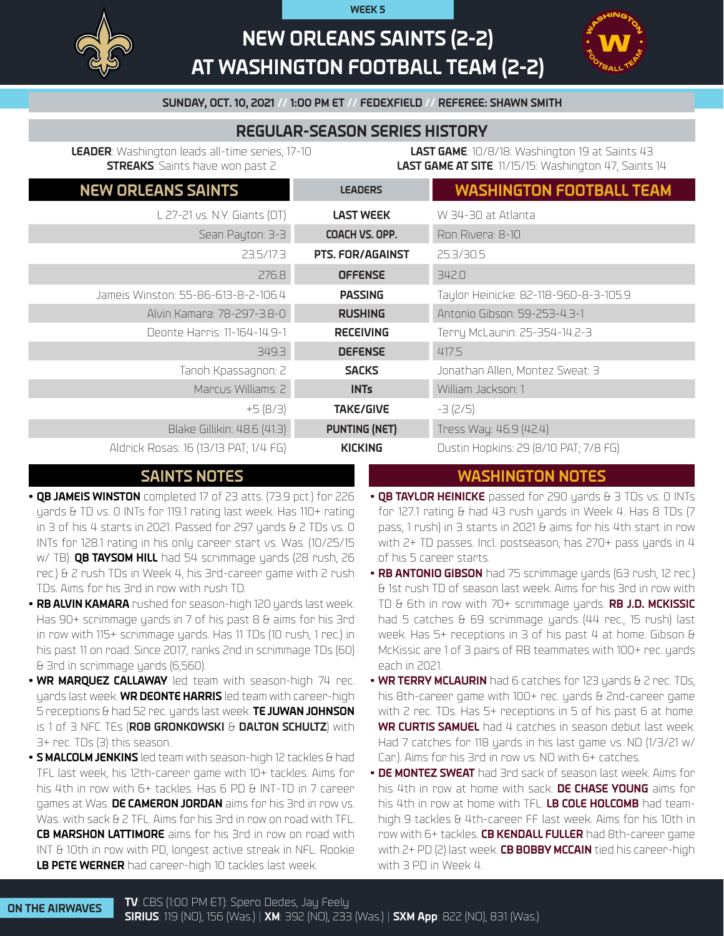**WEEK 5**



# **NEW ORLEANS SAINTS (2-2) AT WASHINGTON FOOTBALL TEAM (2-2)**



**SUNDAY, OCT. 10, 2021 // 1:O0 PM ET // FEDEXFIELD // REFEREE: SHAWN SMITH**

# **REGULAR-SEASON SERIES HISTORY**

**LEADER**: Washington leads all-time series, 17-10 **STREAKS**: Saints have won past 2

**LAST GAME**: 10/8/18: Washington 19 at Saints 43 **LAST GAME AT SITE**: 11/15/15: Washington 47, Saints 14

| <b>NEW ORLEANS SAINTS</b>             | <b>LEADERS</b>          | <b>WASHINGTON FOOTBALL TEAM</b>       |
|---------------------------------------|-------------------------|---------------------------------------|
| L 27-21 vs. N.Y. Giants (OT)          | <b>LAST WEEK</b>        | W 34-30 at Atlanta                    |
| Sean Payton: 3-3                      | COACH VS. OPP.          | Ron Rivera: 8-10                      |
| 23.5/17.3                             | <b>PTS. FOR/AGAINST</b> | 25.3/30.5                             |
| 276.8                                 | <b>OFFENSE</b>          | 342.0                                 |
| Jameis Winston: 55-86-613-8-2-106.4   | <b>PASSING</b>          | Taylor Heinicke: 82-118-960-8-3-105.9 |
| Alvin Kamara: 78-297-3.8-0            | <b>RUSHING</b>          | Antonio Gibson: 59-253-4.3-1          |
| Deonte Harris: 11-164-14.9-1          | <b>RECEIVING</b>        | Terry McLaurin: 25-354-14.2-3         |
| 349.3                                 | <b>DEFENSE</b>          | 417.5                                 |
| Tanoh Kpassagnon: 2                   | <b>SACKS</b>            | Jonathan Allen, Montez Sweat: 3       |
| Marcus Williams: 2                    | <b>INTs</b>             | William Jackson: 1                    |
| $+5(8/3)$                             | <b>TAKE/GIVE</b>        | $-3$ (2/5)                            |
| Blake Gillikin: 48.6 (41.3)           | <b>PUNTING (NET)</b>    | Tress Way: 46.9 (42.4)                |
| Aldrick Rosas: 16 (13/13 PAT; 1/4 FG) | <b>KICKING</b>          | Dustin Hopkins: 29 (8/10 PAT; 7/8 FG) |

# **SAINTS NOTES WASHINGTON NOTES**

- **• QB JAMEIS WINSTON** completed 17 of 23 atts. (73.9 pct.) for 226 yards & TD vs. 0 INTs for 119.1 rating last week. Has 110+ rating in 3 of his 4 starts in 2021. Passed for 297 yards & 2 TDs vs. 0 INTs for 128.1 rating in his only career start vs. Was. (10/25/15 w/ TB). **QB TAYSOM HILL** had 54 scrimmage yards (28 rush, 26 rec.) & 2 rush TDs in Week 4, his 3rd-career game with 2 rush TDs. Aims for his 3rd in row with rush TD.
- **• RB ALVIN KAMARA** rushed for season-high 120 yards last week. Has 90+ scrimmage yards in 7 of his past 8 & aims for his 3rd in row with 115+ scrimmage yards. Has 11 TDs (10 rush, 1 rec.) in his past 11 on road. Since 2017, ranks 2nd in scrimmage TDs (60) & 3rd in scrimmage yards (6,560).
- **• WR MARQUEZ CALLAWAY** led team with season-high 74 rec. yards last week. **WR DEONTE HARRIS** led team with career-high 5 receptions & had 52 rec. yards last week. **TE JUWAN JOHNSON** is 1 of 3 NFC TEs (**ROB GRONKOWSKI** & **DALTON SCHULTZ**) with 3+ rec. TDs (3) this season.
- **• S MALCOLM JENKINS** led team with season-high 12 tackles & had TFL last week, his 12th-career game with 10+ tackles. Aims for his 4th in row with 6+ tackles. Has 6 PD & INT-TD in 7 career games at Was. **DE CAMERON JORDAN** aims for his 3rd in row vs. Was. with sack & 2 TFL. Aims for his 3rd in row on road with TFL. **CB MARSHON LATTIMORE** aims for his 3rd in row on road with INT & 10th in row with PD, longest active streak in NFL. Rookie **LB PETE WERNER** had career-high 10 tackles last week.
- **QB TAYLOR HEINICKE** passed for 290 yards & 3 TDs vs. 0 INTs for 127.1 rating & had 43 rush yards in Week 4. Has 8 TDs (7 pass, 1 rush) in 3 starts in 2021 & aims for his 4th start in row with 2+ TD passes. Incl. postseason, has 270+ pass yards in 4 of his 5 career starts.
- **• RB ANTONIO GIBSON** had 75 scrimmage yards (63 rush, 12 rec.) & 1st rush TD of season last week. Aims for his 3rd in row with TD & 6th in row with 70+ scrimmage yards. **RB J.D. MCKISSIC** had 5 catches & 69 scrimmage yards (44 rec., 15 rush) last week. Has 5+ receptions in 3 of his past 4 at home. Gibson & McKissic are 1 of 3 pairs of RB teammates with 100+ rec. yards each in 2021.
- **• WR TERRY MCLAURIN** had 6 catches for 123 yards & 2 rec. TDs, his 8th-career game with 100+ rec. yards & 2nd-career game with 2 rec. TDs. Has 5+ receptions in 5 of his past 6 at home. **WR CURTIS SAMUEL** had 4 catches in season debut last week. Had 7 catches for 118 yards in his last game vs. NO (1/3/21 w/ Car.). Aims for his 3rd in row vs. NO with 6+ catches.
- **• DE MONTEZ SWEAT** had 3rd sack of season last week. Aims for his 4th in row at home with sack. **DE CHASE YOUNG** aims for his 4th in row at home with TFL. **LB COLE HOLCOMB** had teamhigh 9 tackles & 4th-career FF last week. Aims for his 10th in row with 6+ tackles. **CB KENDALL FULLER** had 8th-career game with 2+ PD (2) last week. **CB BOBBY MCCAIN** tied his career-high with 3 PD in Week 4.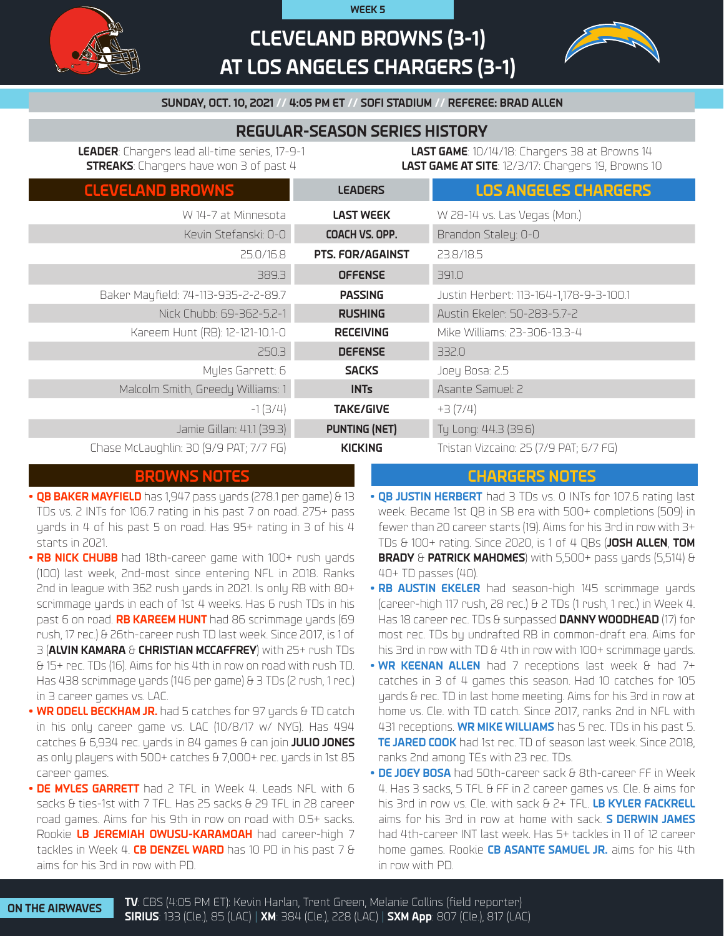# **CLEVELAND BROWNS (3-1) AT LOS ANGELES CHARGERS (3-1)**

**WEEK 5**



### **SUNDAY, OCT. 10, 2021 // 4:05 PM ET // SOFI STADIUM // REFEREE: BRAD ALLEN**

# **REGULAR-SEASON SERIES HISTORY**

**LEADER**: Chargers lead all-time series, 17-9-1 **STREAKS**: Chargers have won 3 of past 4

**LAST GAME**: 10/14/18: Chargers 38 at Browns 14 **LAST GAME AT SITE**: 12/3/17: Chargers 19, Browns 10

| <b>CLEVELAND BROWNS</b>                | <b>LEADERS</b>       | <b>LOS ANGELES CHARGERS</b>             |
|----------------------------------------|----------------------|-----------------------------------------|
| W 14-7 at Minnesota                    | <b>LAST WEEK</b>     | W 28-14 vs. Las Vegas (Mon.)            |
| Kevin Stefanski: 0-0                   | COACH VS. OPP.       | Brandon Staley: 0-0                     |
| 25.0/16.8                              | PTS. FOR/AGAINST     | 23.8/18.5                               |
| 389.3                                  | <b>OFFENSE</b>       | 391.0                                   |
| Baker Mayfield: 74-113-935-2-2-89.7    | <b>PASSING</b>       | Justin Herbert: 113-164-1,178-9-3-100.1 |
| Nick Chubb: 69-362-5.2-1               | <b>RUSHING</b>       | Austin Ekeler: 50-283-5.7-2             |
| Kareem Hunt (RB): 12-121-10.1-0        | <b>RECEIVING</b>     | Mike Williams: 23-306-13.3-4            |
| 250.3                                  | <b>DEFENSE</b>       | 332.0                                   |
| Myles Garrett: 6                       | <b>SACKS</b>         | Joey Bosa: 2.5                          |
| Malcolm Smith, Greedy Williams: 1      | <b>INTs</b>          | Asante Samuel: 2                        |
| $-1(3/4)$                              | <b>TAKE/GIVE</b>     | $+3(7/4)$                               |
| Jamie Gillan: 41.1 (39.3)              | <b>PUNTING (NET)</b> | Ty Long: 44.3 (39.6)                    |
| Chase McLaughlin: 30 (9/9 PAT; 7/7 FG) | <b>KICKING</b>       | Tristan Vizcaino: 25 (7/9 PAT; 6/7 FG)  |

- **• QB BAKER MAYFIELD** has 1,947 pass yards (278.1 per game) & 13 TDs vs. 2 INTs for 106.7 rating in his past 7 on road. 275+ pass yards in 4 of his past 5 on road. Has 95+ rating in 3 of his 4 starts in 2021.
- **• RB NICK CHUBB** had 18th-career game with 100+ rush yards (100) last week, 2nd-most since entering NFL in 2018. Ranks 2nd in league with 362 rush yards in 2021. Is only RB with 80+ scrimmage yards in each of 1st 4 weeks. Has 6 rush TDs in his past 6 on road. **RB KAREEM HUNT** had 86 scrimmage yards (69 rush, 17 rec.) & 26th-career rush TD last week. Since 2017, is 1 of 3 (**ALVIN KAMARA** & **CHRISTIAN MCCAFFREY**) with 25+ rush TDs & 15+ rec. TDs (16). Aims for his 4th in row on road with rush TD. Has 438 scrimmage yards (146 per game) & 3 TDs (2 rush, 1 rec.) in 3 career games vs. LAC.
- **• WR ODELL BECKHAM JR.** had 5 catches for 97 yards & TD catch in his only career game vs. LAC (10/8/17 w/ NYG). Has 494 catches & 6,934 rec. yards in 84 games & can join **JULIO JONES**  as only players with 500+ catches & 7,000+ rec. yards in 1st 85 career games.
- **• DE MYLES GARRETT** had 2 TFL in Week 4. Leads NFL with 6 sacks & ties-1st with 7 TFL. Has 25 sacks & 29 TFL in 28 career road games. Aims for his 9th in row on road with 0.5+ sacks. Rookie **LB JEREMIAH OWUSU-KARAMOAH** had career-high 7 tackles in Week 4. **CB DENZEL WARD** has 10 PD in his past 7 & aims for his 3rd in row with PD.

## **BROWNS NOTES CHARGERS NOTES**

- **• QB JUSTIN HERBERT** had 3 TDs vs. 0 INTs for 107.6 rating last week. Became 1st QB in SB era with 500+ completions (509) in fewer than 20 career starts (19). Aims for his 3rd in row with 3+ TDs & 100+ rating. Since 2020, is 1 of 4 QBs (**JOSH ALLEN**, **TOM BRADY** & **PATRICK MAHOMES**) with 5,500+ pass yards (5,514) & 40+ TD passes (40).
- **• RB AUSTIN EKELER** had season-high 145 scrimmage yards (career-high 117 rush, 28 rec.) & 2 TDs (1 rush, 1 rec.) in Week 4. Has 18 career rec. TDs & surpassed **DANNY WOODHEAD** (17) for most rec. TDs by undrafted RB in common-draft era. Aims for his 3rd in row with TD & 4th in row with 100+ scrimmage yards.
- **• WR KEENAN ALLEN** had 7 receptions last week & had 7+ catches in 3 of 4 games this season. Had 10 catches for 105 yards & rec. TD in last home meeting. Aims for his 3rd in row at home vs. Cle. with TD catch. Since 2017, ranks 2nd in NFL with 431 receptions. **WR MIKE WILLIAMS** has 5 rec. TDs in his past 5. **TE JARED COOK** had 1st rec. TD of season last week. Since 2018, ranks 2nd among TEs with 23 rec. TDs.
- **• DE JOEY BOSA** had 50th-career sack & 8th-career FF in Week 4. Has 3 sacks, 5 TFL & FF in 2 career games vs. Cle. & aims for his 3rd in row vs. Cle. with sack & 2+ TFL. **LB KYLER FACKRELL** aims for his 3rd in row at home with sack. **S DERWIN JAMES** had 4th-career INT last week. Has 5+ tackles in 11 of 12 career home games. Rookie **CB ASANTE SAMUEL JR.** aims for his 4th in row with PD.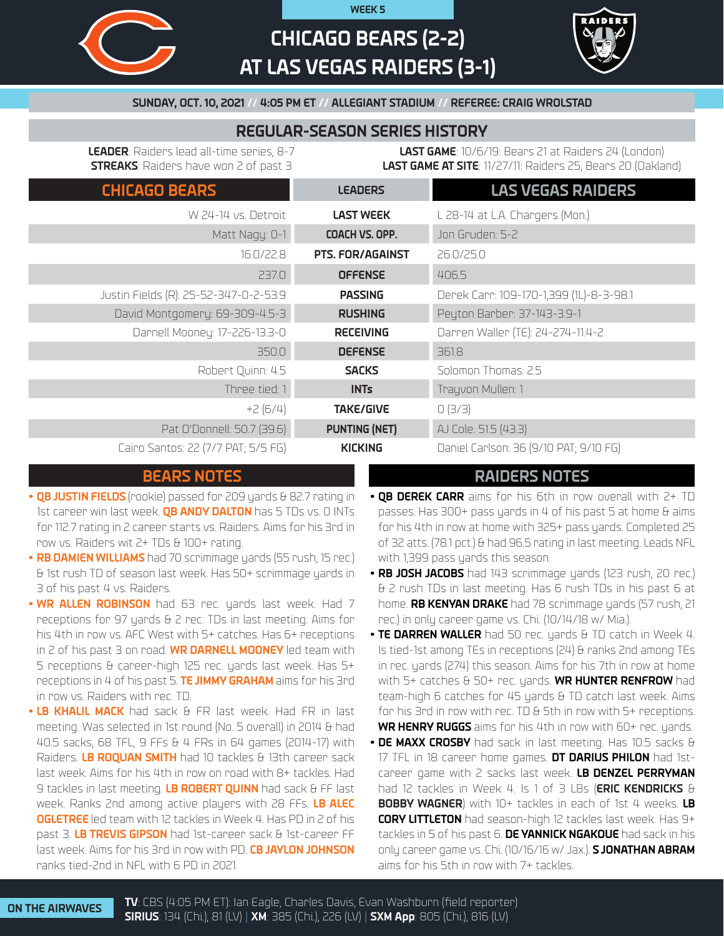

# **CHICAGO BEARS (2-2) AT LAS VEGAS RAIDERS (3-1)**

**WEEK 5**



### **SUNDAY, OCT. 10, 2021 // 4:05 PM ET // ALLEGIANT STADIUM // REFEREE: CRAIG WROLSTAD**

## **REGULAR-SEASON SERIES HISTORY**

**LEADER**: Raiders lead all-time series, 8-7 **STREAKS**: Raiders have won 2 of past 3

**LAST GAME**: 10/6/19: Bears 21 at Raiders 24 (London) **LAST GAME AT SITE**: 11/27/11: Raiders 25, Bears 20 (Oakland)

| <b>CHICAGO BEARS</b>                  | <b>LEADERS</b>          | <b>LAS VEGAS RAIDERS</b>                |
|---------------------------------------|-------------------------|-----------------------------------------|
| W 24-14 vs. Detroit                   | <b>LAST WEEK</b>        | L 28-14 at L.A. Chargers (Mon.)         |
| Matt Nagy: 0-1                        | COACH VS. OPP.          | Jon Gruden: 5-2                         |
| 16.0/22.8                             | <b>PTS. FOR/AGAINST</b> | 26.0/25.0                               |
| 237.0                                 | <b>OFFENSE</b>          | 406.5                                   |
| Justin Fields (R): 25-52-347-0-2-53.9 | <b>PASSING</b>          | Derek Carr: 109-170-1,399 (1L)-8-3-98.1 |
| David Montgomery: 69-309-4.5-3        | <b>RUSHING</b>          | Peyton Barber: 37-143-3.9-1             |
| Darnell Mooney: 17-226-13.3-0         | <b>RECEIVING</b>        | Darren Waller (TE): 24-274-11.4-2       |
| 350.0                                 | <b>DEFENSE</b>          | 361.8                                   |
| Robert Quinn: 4.5                     | <b>SACKS</b>            | Solomon Thomas: 2.5                     |
| Three tied: 1                         | <b>INTs</b>             | Trayvon Mullen: 1                       |
| $+2(6/4)$                             | <b>TAKE/GIVE</b>        | O(3/3)                                  |
| Pat O'Donnell: 50.7 (39.6)            | <b>PUNTING (NET)</b>    | AJ Cole: 51.5 (43.3)                    |
| Cairo Santos: 22 (7/7 PAT; 5/5 FG)    | <b>KICKING</b>          | Daniel Carlson: 36 (9/10 PAT; 9/10 FG)  |

## **BEARS NOTES RAIDERS NOTES**

- QB JUSTIN FIELDS (rookie) passed for 209 yards & 82.7 rating in 1st career win last week. **QB ANDY DALTON** has 5 TDs vs. 0 INTs for 112.7 rating in 2 career starts vs. Raiders. Aims for his 3rd in row vs. Raiders wit 2+ TDs & 100+ rating.
- **• RB DAMIEN WILLIAMS** had 70 scrimmage yards (55 rush, 15 rec.) & 1st rush TD of season last week. Has 50+ scrimmage yards in 3 of his past 4 vs. Raiders.
- **• WR ALLEN ROBINSON** had 63 rec. yards last week. Had 7 receptions for 97 yards & 2 rec. TDs in last meeting. Aims for his 4th in row vs. AFC West with 5+ catches. Has 6+ receptions in 2 of his past 3 on road. **WR DARNELL MOONEY** led team with 5 receptions & career-high 125 rec. yards last week. Has 5+ receptions in 4 of his past 5. **TE JIMMY GRAHAM** aims for his 3rd in row vs. Raiders with rec. TD.
- **• LB KHALIL MACK** had sack & FR last week. Had FR in last meeting. Was selected in 1st round (No. 5 overall) in 2014 & had 40.5 sacks, 68 TFL, 9 FFs & 4 FRs in 64 games (2014-17) with Raiders. **LB ROQUAN SMITH** had 10 tackles & 13th career sack last week. Aims for his 4th in row on road with 8+ tackles. Had 9 tackles in last meeting. **LB ROBERT QUINN** had sack & FF last week. Ranks 2nd among active players with 28 FFs. **LB ALEC OGLETREE** led team with 12 tackles in Week 4. Has PD in 2 of his past 3. **LB TREVIS GIPSON** had 1st-career sack & 1st-career FF last week. Aims for his 3rd in row with PD. **CB JAYLON JOHNSON** ranks tied-2nd in NFL with 6 PD in 2021.

- **• QB DEREK CARR** aims for his 6th in row overall with 2+ TD passes. Has 300+ pass yards in 4 of his past 5 at home & aims for his 4th in row at home with 325+ pass yards. Completed 25 of 32 atts. (78.1 pct.) & had 96.5 rating in last meeting. Leads NFL with 1,399 pass yards this season.
- **• RB JOSH JACOBS** had 143 scrimmage yards (123 rush, 20 rec.) & 2 rush TDs in last meeting. Has 6 rush TDs in his past 6 at home. **RB KENYAN DRAKE** had 78 scrimmage yards (57 rush, 21 rec.) in only career game vs. Chi. (10/14/18 w/ Mia.).
- **• TE DARREN WALLER** had 50 rec. yards & TD catch in Week 4. Is tied-1st among TEs in receptions (24) & ranks 2nd among TEs in rec. yards (274) this season. Aims for his 7th in row at home with 5+ catches & 50+ rec. yards. **WR HUNTER RENFROW** had team-high 6 catches for 45 yards & TD catch last week. Aims for his 3rd in row with rec. TD & 5th in row with 5+ receptions. **WR HENRY RUGGS** aims for his 4th in row with 60+ rec. yards.
- **• DE MAXX CROSBY** had sack in last meeting. Has 10.5 sacks & 17 TFL in 18 career home games. **DT DARIUS PHILON** had 1stcareer game with 2 sacks last week. **LB DENZEL PERRYMAN** had 12 tackles in Week 4. Is 1 of 3 LBs (**ERIC KENDRICKS** & **BOBBY WAGNER**) with 10+ tackles in each of 1st 4 weeks. **LB CORY LITTLETON** had season-high 12 tackles last week. Has 9+ tackles in 5 of his past 6. **DE YANNICK NGAKOUE** had sack in his only career game vs. Chi. (10/16/16 w/ Jax.). **S JONATHAN ABRAM** aims for his 5th in row with 7+ tackles.

**ON THE AIRWAVES TV**: CBS (4:05 PM ET): Ian Eagle, Charles Davis, Evan Washburn (field reporter) **SIRIUS**: 134 (Chi.), 81 (LV) | **XM**: 385 (Chi.), 226 (LV) | **SXM App**: 805 (Chi.), 816 (LV)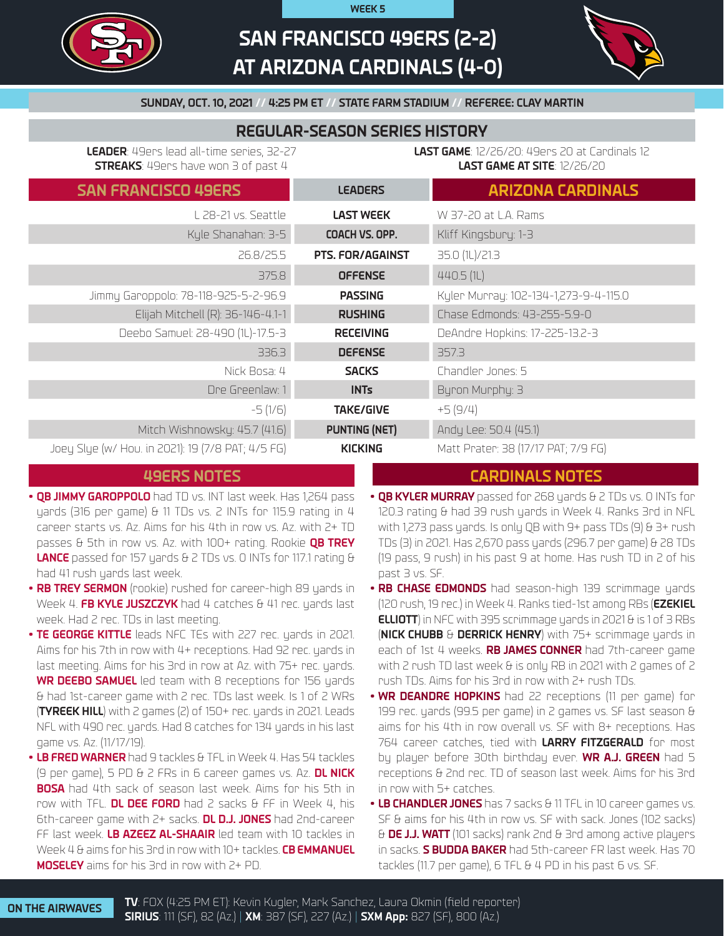

# **SAN FRANCISCO 49ERS (2-2) AT ARIZONA CARDINALS (4-0)**

**WEEK 5**



## **SUNDAY, OCT. 10, 2021 // 4:25 PM ET // STATE FARM STADIUM // REFEREE: CLAY MARTIN**

# **REGULAR-SEASON SERIES HISTORY**

**LEADER**: 49ers lead all-time series, 32-27 **STREAKS**: 49ers have won 3 of past 4

**LAST GAME**: 12/26/20: 49ers 20 at Cardinals 12 **LAST GAME AT SITE**: 12/26/20

| <b>SAN FRANCISCO 49ERS</b>                        | <b>LEADERS</b>          | <b>ARIZONA CARDINALS</b>              |
|---------------------------------------------------|-------------------------|---------------------------------------|
| L 28-21 vs. Seattle                               | <b>LAST WEEK</b>        | W 37-20 at L.A. Rams                  |
| Kyle Shanahan: 3-5                                | COACH VS. OPP.          | Kliff Kingsbury: 1-3                  |
| 26.8/25.5                                         | <b>PTS. FOR/AGAINST</b> | 35.0 (1L)/21.3                        |
| 375.8                                             | <b>OFFENSE</b>          | 440.5(1)                              |
| Jimmy Garoppolo: 78-118-925-5-2-96.9              | <b>PASSING</b>          | Kylen Munnay: 102-134-1,273-9-4-115.0 |
| Elijah Mitchell (R): 36-146-4.1-1                 | <b>RUSHING</b>          | Chase Edmonds: 43-255-5.9-0           |
| Deebo Samuel: 28-490 (1L)-17.5-3                  | <b>RECEIVING</b>        | DeAndre Hopkins: 17-225-13.2-3        |
| 336.3                                             | <b>DEFENSE</b>          | 357.3                                 |
| Nick Bosa: 4                                      | <b>SACKS</b>            | Chandler Jones: 5                     |
| Dre Greenlaw: 1                                   | <b>INTs</b>             | Byron Murphy: 3                       |
| $-5(1/6)$                                         | <b>TAKE/GIVE</b>        | $+5(9/4)$                             |
| Mitch Wishnowsky: 45.7 (41.6)                     | <b>PUNTING (NET)</b>    | Andy Lee: 50.4 (45.1)                 |
| Joey Slye (w/ Hou. in 2021): 19 (7/8 PAT; 4/5 FG) | <b>KICKING</b>          | Matt Prater: 38 (17/17 PAT; 7/9 FG)   |

# **49ERS NOTES**

- **• QB JIMMY GAROPPOLO** had TD vs. INT last week. Has 1,264 pass yards (316 per game) & 11 TDs vs. 2 INTs for 115.9 rating in 4 career starts vs. Az. Aims for his 4th in row vs. Az. with 2+ TD passes & 5th in row vs. Az. with 100+ rating. Rookie **QB TREY LANCE** passed for 157 yards & 2 TDs vs. 0 INTs for 117.1 rating & had 41 rush yards last week.
- **• RB TREY SERMON** (rookie) rushed for career-high 89 yards in Week 4. **FB KYLE JUSZCZYK** had 4 catches & 41 rec. yards last week. Had 2 rec. TDs in last meeting.
- **• TE GEORGE KITTLE** leads NFC TEs with 227 rec. yards in 2021. Aims for his 7th in row with 4+ receptions. Had 92 rec. yards in last meeting. Aims for his 3rd in row at Az. with 75+ rec. yards. **WR DEEBO SAMUEL** led team with 8 receptions for 156 yards & had 1st-career game with 2 rec. TDs last week. Is 1 of 2 WRs (**TYREEK HILL**) with 2 games (2) of 150+ rec. yards in 2021. Leads NFL with 490 rec. yards. Had 8 catches for 134 yards in his last game vs. Az. (11/17/19).
- **• LB FRED WARNER** had 9 tackles & TFL in Week 4. Has 54 tackles (9 per game), 5 PD & 2 FRs in 6 career games vs. Az. **DL NICK BOSA** had 4th sack of season last week. Aims for his 5th in row with TFL. **DL DEE FORD** had 2 sacks & FF in Week 4, his 6th-career game with 2+ sacks. **DL D.J. JONES** had 2nd-career FF last week. **LB AZEEZ AL-SHAAIR** led team with 10 tackles in Week 4 & aims for his 3rd in row with 10+ tackles. **CB EMMANUEL MOSELEY** aims for his 3rd in row with 2+ PD.

# **CARDINALS NOTES**

- **• QB KYLER MURRAY** passed for 268 yards & 2 TDs vs. 0 INTs for 120.3 rating & had 39 rush yards in Week 4. Ranks 3rd in NFL with 1,273 pass yards. Is only QB with 9+ pass TDs (9) & 3+ rush TDs (3) in 2021. Has 2,670 pass yards (296.7 per game) & 28 TDs (19 pass, 9 rush) in his past 9 at home. Has rush TD in 2 of his past 3 vs. SF.
- **• RB CHASE EDMONDS** had season-high 139 scrimmage yards (120 rush, 19 rec.) in Week 4. Ranks tied-1st among RBs (**EZEKIEL ELLIOTT**) in NFC with 395 scrimmage yards in 2021 & is 1 of 3 RBs (**NICK CHUBB** & **DERRICK HENRY**) with 75+ scrimmage yards in each of 1st 4 weeks. **RB JAMES CONNER** had 7th-career game with 2 rush TD last week  $\theta$  is only RB in 2021 with 2 games of 2 rush TDs. Aims for his 3rd in row with 2+ rush TDs.
- **• WR DEANDRE HOPKINS** had 22 receptions (11 per game) for 199 rec. yards (99.5 per game) in 2 games vs. SF last season & aims for his 4th in row overall vs. SF with 8+ receptions. Has 764 career catches, tied with **LARRY FITZGERALD** for most by player before 30th birthday ever. **WR A.J. GREEN** had 5 receptions & 2nd rec. TD of season last week. Aims for his 3rd in row with 5+ catches.
- **• LB CHANDLER JONES** has 7 sacks & 11 TFL in 10 career games vs. SF & aims for his 4th in row vs. SF with sack. Jones (102 sacks) & **DE J.J. WATT** (101 sacks) rank 2nd & 3rd among active players in sacks. **S BUDDA BAKER** had 5th-career FR last week. Has 70 tackles (11.7 per game), 6 TFL & 4 PD in his past 6 vs. SF.

**ON THE AIRWAVES TV**: FOX (4:25 PM ET): Kevin Kugler, Mark Sanchez, Laura Okmin (field reporter) **SIRIUS**: 111 (SF), 82 (Az.) | **XM**: 387 (SF), 227 (Az.) | **SXM App:** 827 (SF), 800 (Az.)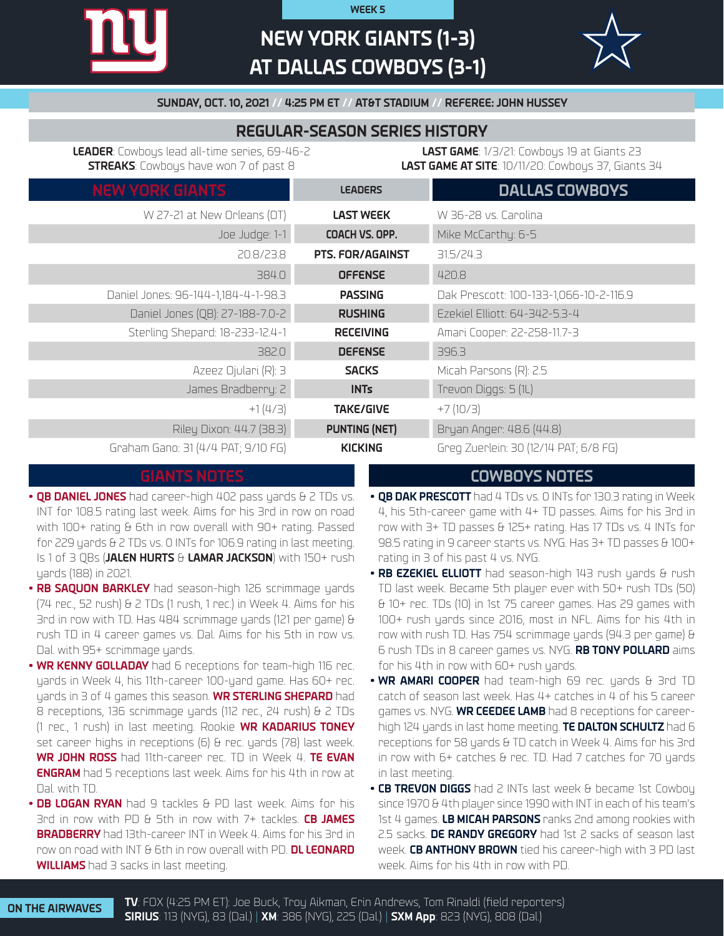# **NEW YORK GIANTS (1-3) AT DALLAS COWBOYS (3-1)**

**WEEK 5**



**SUNDAY, OCT. 10, 2021 // 4:25 PM ET // AT&T STADIUM // REFEREE: JOHN HUSSEY**

# **REGULAR-SEASON SERIES HISTORY**

**LEADER**: Cowboys lead all-time series, 69-46-2 **STREAKS**: Cowboys have won 7 of past 8

**LAST GAME**: 1/3/21: Cowboys 19 at Giants 23 **LAST GAME AT SITE**: 10/11/20: Cowboys 37, Giants 34

| <b>NEW YORK GIANTS</b>              | <b>LEADERS</b>          | <b>DALLAS COWBOYS</b>                  |
|-------------------------------------|-------------------------|----------------------------------------|
| W 27-21 at New Orleans (OT)         | <b>LAST WEEK</b>        | W 36-28 vs. Carolina                   |
| Joe Judge: 1-1                      | COACH VS. OPP.          | Mike McCarthy: 6-5                     |
| 20.8/23.8                           | <b>PTS. FOR/AGAINST</b> | 31.5/24.3                              |
| 384.0                               | <b>OFFENSE</b>          | 420.8                                  |
| Daniel Jones: 96-144-1,184-4-1-98.3 | <b>PASSING</b>          | Dak Prescott: 100-133-1,066-10-2-116.9 |
| Daniel Jones (QB): 27-188-7.0-2     | <b>RUSHING</b>          | Ezekiel Elliott: 64-342-5.3-4          |
| Sterling Shepard: 18-233-12.4-1     | <b>RECEIVING</b>        | Amari Cooper: 22-258-11.7-3            |
| 382.0                               | <b>DEFENSE</b>          | 396.3                                  |
| Azeez Ojulari (R): 3                | <b>SACKS</b>            | Micah Parsons (R): 2.5                 |
| James Bradberry: 2                  | <b>INTs</b>             | Trevon Diggs: 5 (1L)                   |
| $+1(4/3)$                           | <b>TAKE/GIVE</b>        | $+7(10/3)$                             |
| Riley Dixon: 44.7 (38.3)            | <b>PUNTING (NET)</b>    | Bryan Anger: 48.6 (44.8)               |
| Graham Gano: 31 (4/4 PAT; 9/10 FG)  | <b>KICKING</b>          | Greg Zuerlein: 30 (12/14 PAT; 6/8 FG)  |

- **• QB DANIEL JONES** had career-high 402 pass yards & 2 TDs vs. INT for 108.5 rating last week. Aims for his 3rd in row on road with 100+ rating & 6th in row overall with 90+ rating. Passed for 229 yards & 2 TDs vs. 0 INTs for 106.9 rating in last meeting. Is 1 of 3 QBs (**JALEN HURTS** & **LAMAR JACKSON**) with 150+ rush yards (188) in 2021.
- **• RB SAQUON BARKLEY** had season-high 126 scrimmage yards (74 rec., 52 rush) & 2 TDs (1 rush, 1 rec.) in Week 4. Aims for his 3rd in row with TD. Has 484 scrimmage yards (121 per game) & rush TD in 4 career games vs. Dal. Aims for his 5th in row vs. Dal. with 95+ scrimmage yards.
- **• WR KENNY GOLLADAY** had 6 receptions for team-high 116 rec. yards in Week 4, his 11th-career 100-yard game. Has 60+ rec. yards in 3 of 4 games this season. **WR STERLING SHEPARD** had 8 receptions, 136 scrimmage yards (112 rec., 24 rush) & 2 TDs (1 rec., 1 rush) in last meeting. Rookie **WR KADARIUS TONEY** set career highs in receptions (6) & rec. yards (78) last week. **WR JOHN ROSS** had 11th-career rec. TD in Week 4. **TE EVAN ENGRAM** had 5 receptions last week. Aims for his 4th in row at Dal. with TD.
- **• DB LOGAN RYAN** had 9 tackles & PD last week. Aims for his 3rd in row with PD & 5th in row with 7+ tackles. **CB JAMES BRADBERRY** had 13th-career INT in Week 4. Aims for his 3rd in row on road with INT & 6th in row overall with PD. **DL LEONARD WILLIAMS** had 3 sacks in last meeting.

# **GIANTS NOTES COWBOYS NOTES**

- **• QB DAK PRESCOTT** had 4 TDs vs. 0 INTs for 130.3 rating in Week 4, his 5th-career game with 4+ TD passes. Aims for his 3rd in row with 3+ TD passes & 125+ rating. Has 17 TDs vs. 4 INTs for 98.5 rating in 9 career starts vs. NYG. Has 3+ TD passes & 100+ rating in 3 of his past 4 vs. NYG.
- **• RB EZEKIEL ELLIOTT** had season-high 143 rush yards & rush TD last week. Became 5th player ever with 50+ rush TDs (50) & 10+ rec. TDs (10) in 1st 75 career games. Has 29 games with 100+ rush yards since 2016, most in NFL. Aims for his 4th in row with rush TD. Has 754 scrimmage yards (94.3 per game) & 6 rush TDs in 8 career games vs. NYG. **RB TONY POLLARD** aims for his 4th in row with 60+ rush yards.
- **• WR AMARI COOPER** had team-high 69 rec. yards & 3rd TD catch of season last week. Has 4+ catches in 4 of his 5 career games vs. NYG. **WR CEEDEE LAMB** had 8 receptions for careerhigh 124 yards in last home meeting. **TE DALTON SCHULTZ** had 6 receptions for 58 yards & TD catch in Week 4. Aims for his 3rd in row with 6+ catches & rec. TD. Had 7 catches for 70 yards in last meeting.
- **CB TREVON DIGGS** had 2 INTs last week & became 1st Cowboy since 1970 & 4th player since 1990 with INT in each of his team's 1st 4 games. **LB MICAH PARSONS** ranks 2nd among rookies with 2.5 sacks. **DE RANDY GREGORY** had 1st 2 sacks of season last week. **CB ANTHONY BROWN** tied his career-high with 3 PD last week. Aims for his 4th in row with PD.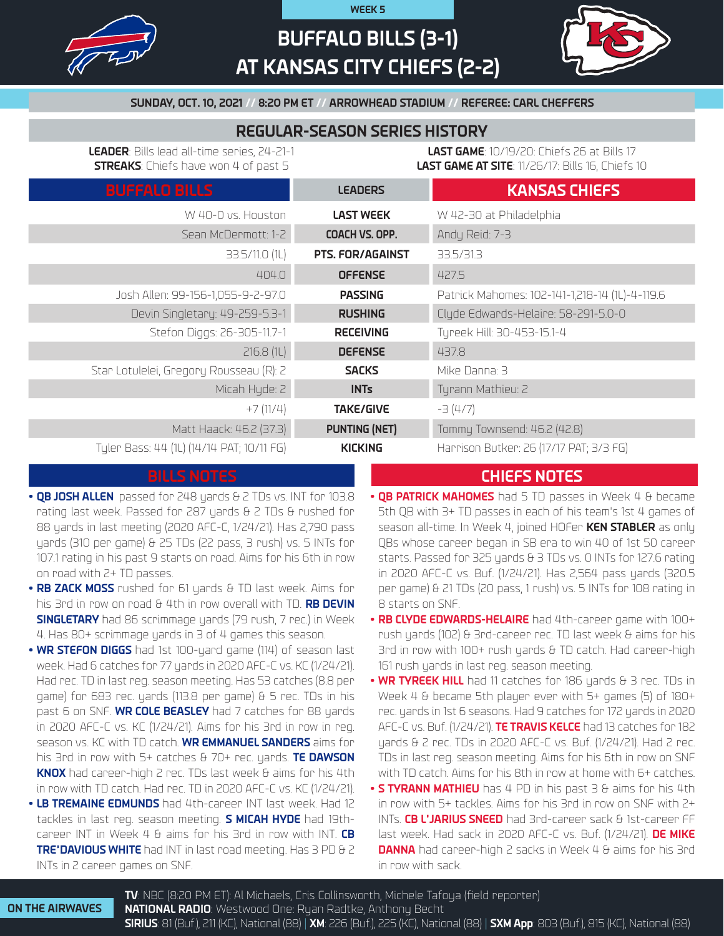

# **BUFFALO BILLS (3-1) AT KANSAS CITY CHIEFS (2-2)**

**WEEK 5**



**SUNDAY, OCT. 10, 2021 // 8:20 PM ET // ARROWHEAD STADIUM // REFEREE: CARL CHEFFERS**

# **REGULAR-SEASON SERIES HISTORY**

**LEADER**: Bills lead all-time series, 24-21-1 **STREAKS**: Chiefs have won 4 of past 5

**LAST GAME**: 10/19/20: Chiefs 26 at Bills 17 **LAST GAME AT SITE**: 11/26/17: Bills 16, Chiefs 10

| <b>BUFFALO BILLS</b>                      | <b>LEADERS</b>       | <b>KANSAS CHIEFS</b>                           |
|-------------------------------------------|----------------------|------------------------------------------------|
| W 40-0 vs. Houston                        | <b>LAST WEEK</b>     | W 42-30 at Philadelphia                        |
| Sean McDermott: 1-2                       | COACH VS. OPP.       | Andy Reid: 7-3                                 |
| 33.5/11.0 (1L)                            | PTS. FOR/AGAINST     | 33.5/31.3                                      |
| 404.0                                     | <b>OFFENSE</b>       | 427.5                                          |
| Josh Allen: 99-156-1,055-9-2-97.0         | <b>PASSING</b>       | Patrick Mahomes: 102-141-1,218-14 (1L)-4-119.6 |
| Devin Singletary: 49-259-5.3-1            | <b>RUSHING</b>       | Clyde Edwards-Helaire: 58-291-5.0-0            |
| Stefon Diggs: 26-305-11.7-1               | <b>RECEIVING</b>     | Tyreek Hill: 30-453-15.1-4                     |
| 216.8(1)                                  | <b>DEFENSE</b>       | 437.8                                          |
| Star Lotulelei, Gregory Rousseau (R): 2   | <b>SACKS</b>         | Mike Danna: 3                                  |
| Micah Hyde: 2                             | <b>INTs</b>          | Tyrann Mathieu: 2                              |
| $+7(11/4)$                                | <b>TAKE/GIVE</b>     | $-3(4/7)$                                      |
| Matt Haack: 46.2 (37.3)                   | <b>PUNTING (NET)</b> | Tommy Townsend: 46.2 (42.8)                    |
| Tyler Bass: 44 (1L) (14/14 PAT; 10/11 FG) | <b>KICKING</b>       | Harrison Butker: 26 (17/17 PAT; 3/3 FG)        |

- **• QB JOSH ALLEN** passed for 248 yards & 2 TDs vs. INT for 103.8 rating last week. Passed for 287 yards & 2 TDs & rushed for 88 yards in last meeting (2020 AFC-C, 1/24/21). Has 2,790 pass yards (310 per game) & 25 TDs (22 pass, 3 rush) vs. 5 INTs for 107.1 rating in his past 9 starts on road. Aims for his 6th in row on road with 2+ TD passes.
- **• RB ZACK MOSS** rushed for 61 yards & TD last week. Aims for his 3rd in row on road & 4th in row overall with TD. **RB DEVIN SINGLETARY** had 86 scrimmage yards (79 rush, 7 rec.) in Week 4. Has 80+ scrimmage yards in 3 of 4 games this season.
- **• WR STEFON DIGGS** had 1st 100-yard game (114) of season last week. Had 6 catches for 77 yards in 2020 AFC-C vs. KC (1/24/21). Had rec. TD in last reg. season meeting. Has 53 catches (8.8 per game) for 683 rec. yards (113.8 per game) & 5 rec. TDs in his past 6 on SNF. **WR COLE BEASLEY** had 7 catches for 88 yards in 2020 AFC-C vs. KC (1/24/21). Aims for his 3rd in row in reg. season vs. KC with TD catch. **WR EMMANUEL SANDERS** aims for his 3rd in row with 5+ catches & 70+ rec. yards. **TE DAWSON KNOX** had career-high 2 rec. TDs last week & aims for his 4th in row with TD catch. Had rec. TD in 2020 AFC-C vs. KC (1/24/21).
- **• LB TREMAINE EDMUNDS** had 4th-career INT last week. Had 12 tackles in last reg. season meeting. **S MICAH HYDE** had 19thcareer INT in Week 4 & aims for his 3rd in row with INT. **CB TRE'DAVIOUS WHITE** had INT in last road meeting. Has 3 PD & 2 INTs in 2 career games on SNF.

# **BILLS NOTES CHIEFS NOTES**

- **• QB PATRICK MAHOMES** had 5 TD passes in Week 4 & became 5th QB with 3+ TD passes in each of his team's 1st 4 games of season all-time. In Week 4, joined HOFer **KEN STABLER** as only QBs whose career began in SB era to win 40 of 1st 50 career starts. Passed for 325 yards & 3 TDs vs. 0 INTs for 127.6 rating in 2020 AFC-C vs. Buf. (1/24/21). Has 2,564 pass yards (320.5) per game) & 21 TDs (20 pass, 1 rush) vs. 5 INTs for 108 rating in 8 starts on SNF.
- **• RB CLYDE EDWARDS-HELAIRE** had 4th-career game with 100+ rush yards (102) & 3rd-career rec. TD last week & aims for his 3rd in row with 100+ rush yards & TD catch. Had career-high 161 rush yards in last reg. season meeting.
- **• WR TYREEK HILL** had 11 catches for 186 yards & 3 rec. TDs in Week 4 & became 5th player ever with 5+ games (5) of 180+ rec. yards in 1st 6 seasons. Had 9 catches for 172 yards in 2020 AFC-C vs. Buf. (1/24/21). **TE TRAVIS KELCE** had 13 catches for 182 yards & 2 rec. TDs in 2020 AFC-C vs. Buf. (1/24/21). Had 2 rec. TDs in last reg. season meeting. Aims for his 6th in row on SNF with TD catch. Aims for his 8th in row at home with 6+ catches.
- **• S TYRANN MATHIEU** has 4 PD in his past 3 & aims for his 4th in row with 5+ tackles. Aims for his 3rd in row on SNF with 2+ INTs. **CB L'JARIUS SNEED** had 3rd-career sack & 1st-career FF last week. Had sack in 2020 AFC-C vs. Buf. (1/24/21). **DE MIKE DANNA** had career-high 2 sacks in Week 4 & aims for his 3rd in row with sack.

**ON THE AIRWAVES**

**TV**: NBC (8:20 PM ET): Al Michaels, Cris Collinsworth, Michele Tafoya (field reporter) **NATIONAL RADIO**: Westwood One: Ryan Radtke, Anthony Becht **SIRIUS**: 81 (Buf.), 211 (KC), National (88) | **XM**: 226 (Buf.), 225 (KC), National (88) | **SXM App**: 803 (Buf.), 815 (KC), National (88)